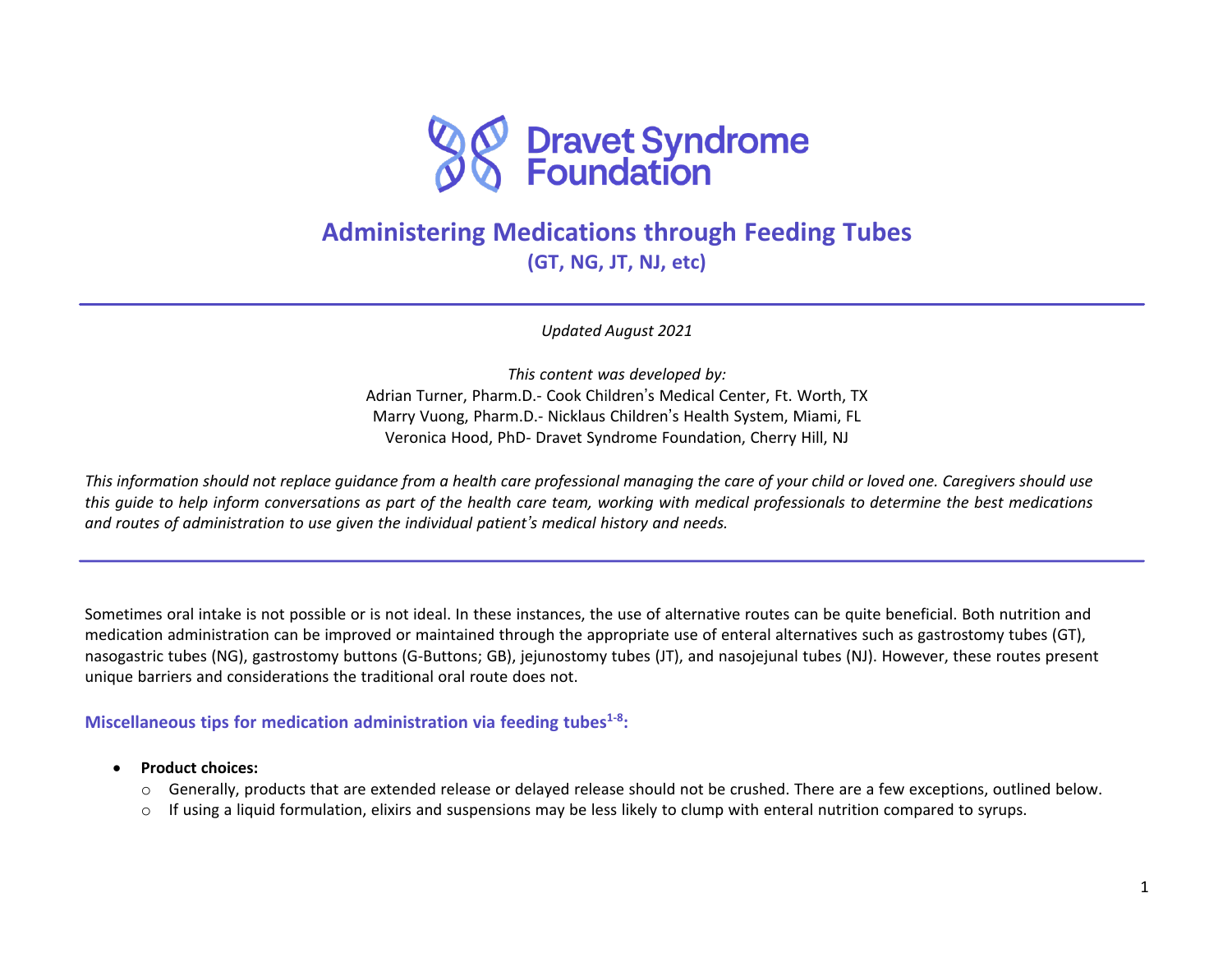

# **Administering Medications through Feeding Tubes (GT, NG, JT, NJ, etc)**

*Updated August 2021*

*This content was developed by:* Adrian Turner, Pharm.D.- Cook Children's Medical Center, Ft. Worth, TX Marry Vuong, Pharm.D.- Nicklaus Children's Health System, Miami, FL Veronica Hood, PhD- Dravet Syndrome Foundation, Cherry Hill, NJ

This information should not replace quidance from a health care professional managing the care of your child or loved one. Caregivers should use this quide to help inform conversations as part of the health care team, working with medical professionals to determine the best medications *and routes of administration to use given the individual patient's medical history and needs.*

Sometimes oral intake is not possible or is not ideal. In these instances, the use of alternative routes can be quite beneficial. Both nutrition and medication administration can be improved or maintained through the appropriate use of enteral alternatives such as gastrostomy tubes (GT), nasogastric tubes (NG), gastrostomy buttons (G-Buttons; GB), jejunostomy tubes (JT), and nasojejunal tubes (NJ). However, these routes present unique barriers and considerations the traditional oral route does not.

**Miscellaneous tips for medication administration via feeding tubes1-8 :**

- **Product choices:**
	- o Generally, products that are extended release or delayed release should not be crushed. There are a few exceptions, outlined below.
	- $\circ$  If using a liquid formulation, elixirs and suspensions may be less likely to clump with enteral nutrition compared to syrups.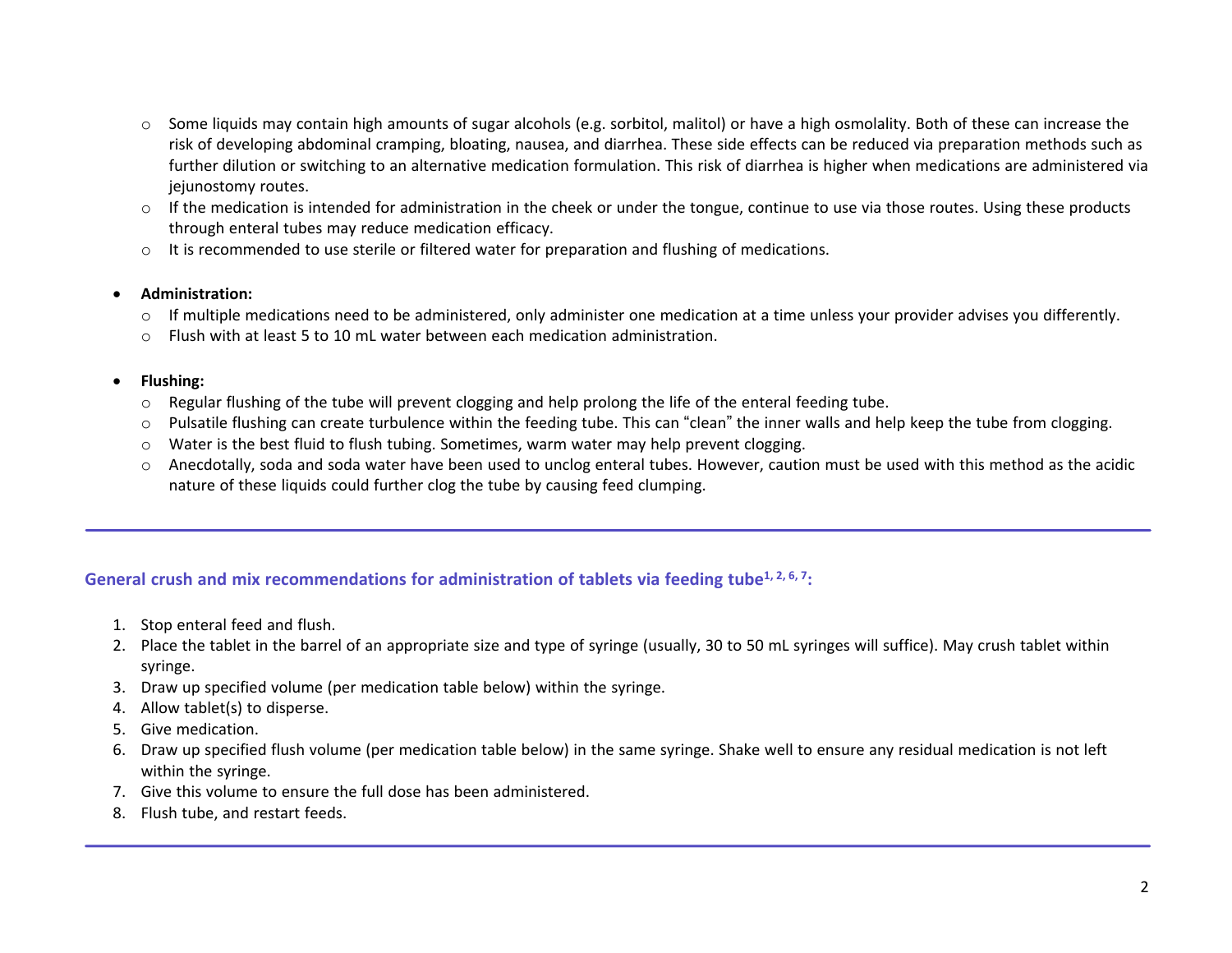- o Some liquids may contain high amounts of sugar alcohols (e.g. sorbitol, malitol) or have a high osmolality. Both of these can increase the risk of developing abdominal cramping, bloating, nausea, and diarrhea. These side effects can be reduced via preparation methods such as further dilution or switching to an alternative medication formulation. This risk of diarrhea is higher when medications are administered via jejunostomy routes.
- $\circ$  If the medication is intended for administration in the cheek or under the tongue, continue to use via those routes. Using these products through enteral tubes may reduce medication efficacy.
- o It is recommended to use sterile or filtered water for preparation and flushing of medications.

#### • **Administration:**

- $\circ$  If multiple medications need to be administered, only administer one medication at a time unless your provider advises you differently.
- $\circ$  Flush with at least 5 to 10 mL water between each medication administration.

#### • **Flushing:**

- $\circ$  Regular flushing of the tube will prevent clogging and help prolong the life of the enteral feeding tube.
- o Pulsatile flushing can create turbulence within the feeding tube. This can "clean" the inner walls and help keep the tube from clogging.
- $\circ$  Water is the best fluid to flush tubing. Sometimes, warm water may help prevent clogging.
- o Anecdotally, soda and soda water have been used to unclog enteral tubes. However, caution must be used with this method as the acidic nature of these liquids could further clog the tube by causing feed clumping.

## **General crush and mix recommendations for administration of tablets via feeding tube1, 2, 6, <sup>7</sup> :**

- 1. Stop enteral feed and flush.
- 2. Place the tablet in the barrel of an appropriate size and type of syringe (usually, 30 to 50 mL syringes will suffice). May crush tablet within syringe.
- 3. Draw up specified volume (per medication table below) within the syringe.
- 4. Allow tablet(s) to disperse.
- 5. Give medication.
- 6. Draw up specified flush volume (per medication table below) in the same syringe. Shake well to ensure any residual medication is not left within the syringe.
- 7. Give this volume to ensure the full dose has been administered.
- 8. Flush tube, and restart feeds.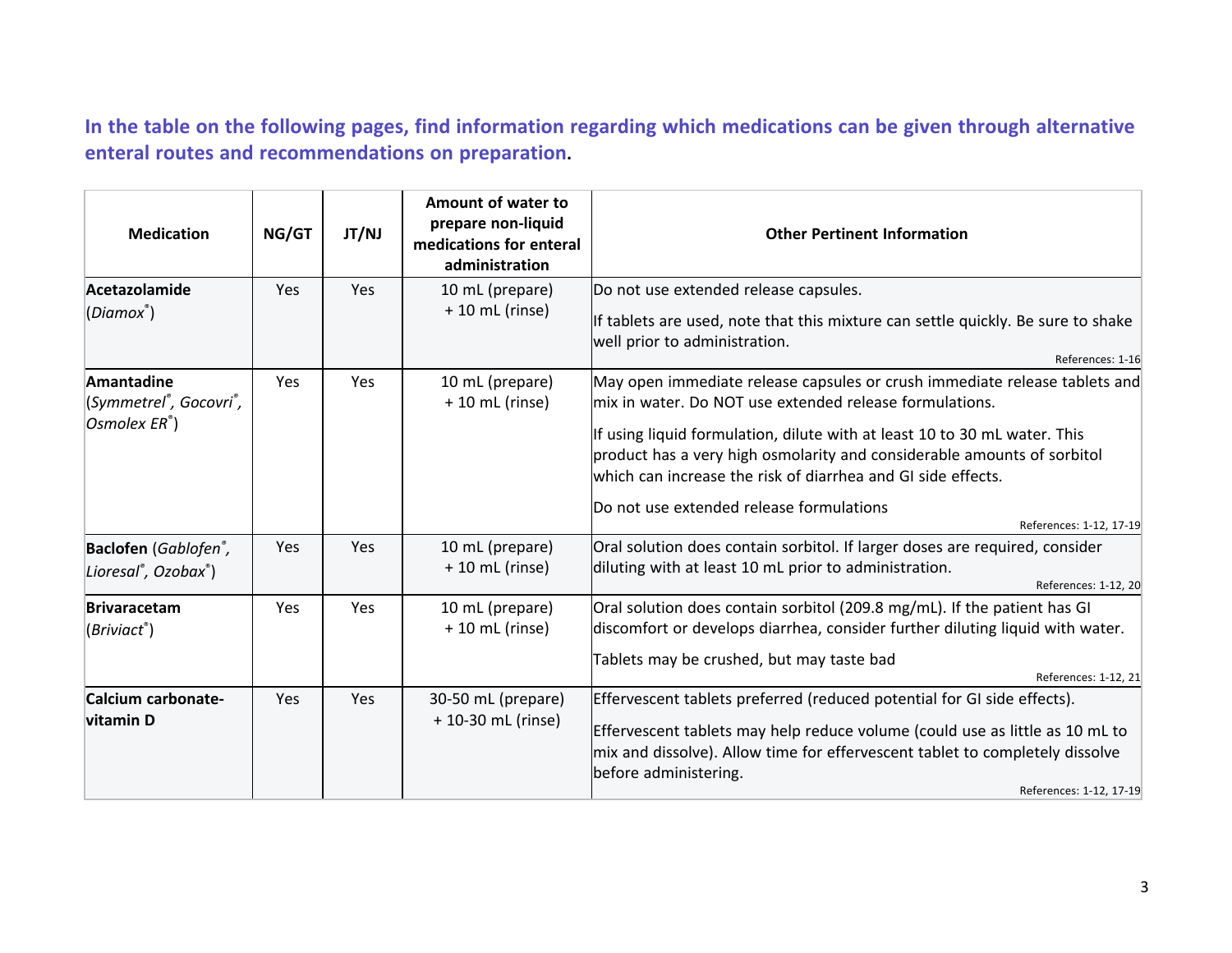In the table on the following pages, find information regarding which medications can be given through alternative **enteral routes and recommendations on preparation.**

| <b>Medication</b>                                                                  | NG/GT      | JT/NJ | Amount of water to<br>prepare non-liquid<br>medications for enteral<br>administration | <b>Other Pertinent Information</b>                                                                                                                                                                                                                                                                                                                                                                                                   |
|------------------------------------------------------------------------------------|------------|-------|---------------------------------------------------------------------------------------|--------------------------------------------------------------------------------------------------------------------------------------------------------------------------------------------------------------------------------------------------------------------------------------------------------------------------------------------------------------------------------------------------------------------------------------|
| Acetazolamide<br>(Diamox <sup>®</sup> )                                            | <b>Yes</b> | Yes   | 10 mL (prepare)<br>$+10$ mL (rinse)                                                   | Do not use extended release capsules.<br>If tablets are used, note that this mixture can settle quickly. Be sure to shake<br>well prior to administration.<br>References: 1-16                                                                                                                                                                                                                                                       |
| Amantadine<br>(Symmetrel <sup>®</sup> , Gocovri <sup>®</sup> ,<br>Osmolex ER®)     | Yes        | Yes   | 10 mL (prepare)<br>$+10$ mL (rinse)                                                   | May open immediate release capsules or crush immediate release tablets and<br>mix in water. Do NOT use extended release formulations.<br>If using liquid formulation, dilute with at least 10 to 30 mL water. This<br>product has a very high osmolarity and considerable amounts of sorbitol<br>which can increase the risk of diarrhea and GI side effects.<br>Do not use extended release formulations<br>References: 1-12, 17-19 |
| Baclofen (Gablofen <sup>®</sup> ,<br>Lioresal <sup>®</sup> , Ozobax <sup>®</sup> ) | Yes        | Yes   | 10 mL (prepare)<br>$+10$ mL (rinse)                                                   | Oral solution does contain sorbitol. If larger doses are required, consider<br>diluting with at least 10 mL prior to administration.<br>References: 1-12, 20                                                                                                                                                                                                                                                                         |
| <b>Brivaracetam</b><br>(Briviact®)                                                 | Yes        | Yes   | 10 mL (prepare)<br>$+10$ mL (rinse)                                                   | Oral solution does contain sorbitol (209.8 mg/mL). If the patient has GI<br>discomfort or develops diarrhea, consider further diluting liquid with water.<br>Tablets may be crushed, but may taste bad<br>References: 1-12, 21                                                                                                                                                                                                       |
| Calcium carbonate-<br>vitamin D                                                    | Yes        | Yes   | 30-50 mL (prepare)<br>+ 10-30 mL (rinse)                                              | Effervescent tablets preferred (reduced potential for GI side effects).<br>Effervescent tablets may help reduce volume (could use as little as 10 mL to<br>mix and dissolve). Allow time for effervescent tablet to completely dissolve<br>before administering.<br>References: 1-12, 17-19                                                                                                                                          |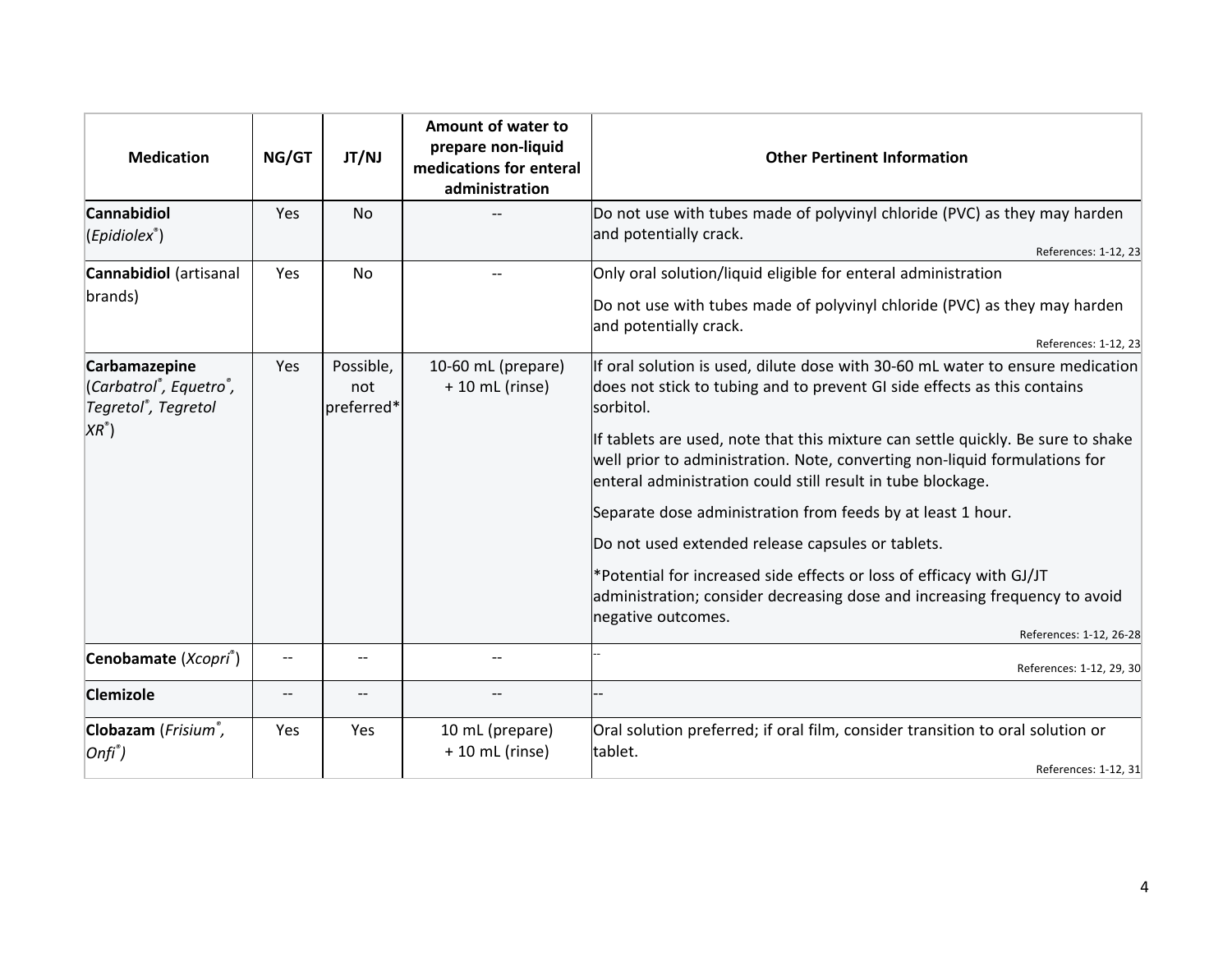| <b>Medication</b>                                                                            | NG/GT             | JT/NJ                          | Amount of water to<br>prepare non-liquid<br>medications for enteral<br>administration | <b>Other Pertinent Information</b>                                                                                                                                                                                                                                                                                                                                                                                                                                                                                                                                                                                                                                                                       |
|----------------------------------------------------------------------------------------------|-------------------|--------------------------------|---------------------------------------------------------------------------------------|----------------------------------------------------------------------------------------------------------------------------------------------------------------------------------------------------------------------------------------------------------------------------------------------------------------------------------------------------------------------------------------------------------------------------------------------------------------------------------------------------------------------------------------------------------------------------------------------------------------------------------------------------------------------------------------------------------|
| <b>Cannabidiol</b><br>$(Epidiolex^*)$                                                        | Yes               | <b>No</b>                      |                                                                                       | Do not use with tubes made of polyvinyl chloride (PVC) as they may harden<br>and potentially crack.<br>References: 1-12, 23                                                                                                                                                                                                                                                                                                                                                                                                                                                                                                                                                                              |
| <b>Cannabidiol</b> (artisanal<br>brands)                                                     | Yes               | <b>No</b>                      |                                                                                       | Only oral solution/liquid eligible for enteral administration<br>Do not use with tubes made of polyvinyl chloride (PVC) as they may harden<br>and potentially crack.<br>References: 1-12, 23                                                                                                                                                                                                                                                                                                                                                                                                                                                                                                             |
| Carbamazepine<br>(Carbatrol®, Equetro®,<br>Tegretol <sup>®</sup> , Tegretol<br>$XR^{\circ})$ | Yes               | Possible,<br>not<br>preferred* | 10-60 mL (prepare)<br>$+10$ mL (rinse)                                                | If oral solution is used, dilute dose with 30-60 mL water to ensure medication<br>does not stick to tubing and to prevent GI side effects as this contains<br>sorbitol.<br>If tablets are used, note that this mixture can settle quickly. Be sure to shake<br>well prior to administration. Note, converting non-liquid formulations for<br>enteral administration could still result in tube blockage.<br>Separate dose administration from feeds by at least 1 hour.<br>Do not used extended release capsules or tablets.<br>*Potential for increased side effects or loss of efficacy with GJ/JT<br>administration; consider decreasing dose and increasing frequency to avoid<br>negative outcomes. |
| Cenobamate (Xcopri®)                                                                         | --                |                                | $-$                                                                                   | References: 1-12, 26-28<br>References: 1-12, 29, 30                                                                                                                                                                                                                                                                                                                                                                                                                                                                                                                                                                                                                                                      |
| Clemizole                                                                                    | $\qquad \qquad -$ |                                | $- -$                                                                                 |                                                                                                                                                                                                                                                                                                                                                                                                                                                                                                                                                                                                                                                                                                          |
| Clobazam (Frisium <sup>®</sup> ,<br>$ Onfi^{\degree})$                                       | Yes               | Yes                            | 10 mL (prepare)<br>$+10$ mL (rinse)                                                   | Oral solution preferred; if oral film, consider transition to oral solution or<br>tablet.<br>References: 1-12, 31                                                                                                                                                                                                                                                                                                                                                                                                                                                                                                                                                                                        |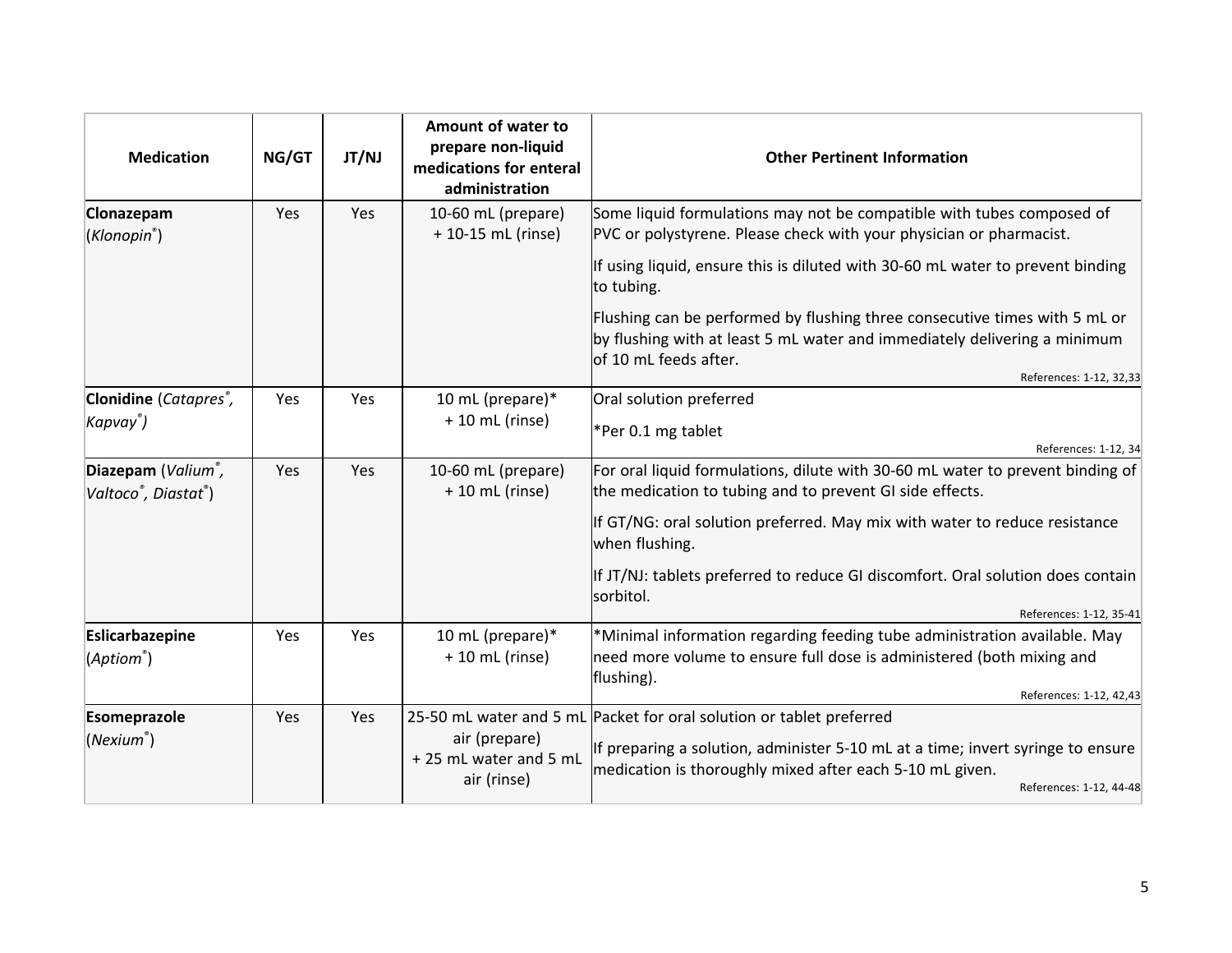| <b>Medication</b>                                                                | NG/GT | JT/NJ | Amount of water to<br>prepare non-liquid<br>medications for enteral<br>administration | <b>Other Pertinent Information</b>                                                                                                                                                                                                                                 |
|----------------------------------------------------------------------------------|-------|-------|---------------------------------------------------------------------------------------|--------------------------------------------------------------------------------------------------------------------------------------------------------------------------------------------------------------------------------------------------------------------|
| Clonazepam<br>(Klonopin <sup>®</sup> )                                           | Yes   | Yes   | 10-60 mL (prepare)<br>+ 10-15 mL (rinse)                                              | Some liquid formulations may not be compatible with tubes composed of<br>PVC or polystyrene. Please check with your physician or pharmacist.                                                                                                                       |
|                                                                                  |       |       |                                                                                       | If using liquid, ensure this is diluted with 30-60 mL water to prevent binding<br>to tubing.                                                                                                                                                                       |
|                                                                                  |       |       |                                                                                       | Flushing can be performed by flushing three consecutive times with 5 mL or<br>by flushing with at least 5 mL water and immediately delivering a minimum<br>of 10 mL feeds after.<br>References: 1-12, 32,33                                                        |
| Clonidine (Catapres <sup>®</sup> ,                                               | Yes   | Yes   | 10 mL (prepare)*                                                                      | Oral solution preferred                                                                                                                                                                                                                                            |
| Kapvay®)                                                                         |       |       | $+10$ mL (rinse)                                                                      | *Per 0.1 mg tablet                                                                                                                                                                                                                                                 |
| Diazepam (Valium <sup>®</sup> ,<br>Valtoco <sup>®</sup> , Diastat <sup>®</sup> ) | Yes   | Yes   | 10-60 mL (prepare)<br>+ 10 mL (rinse)                                                 | References: 1-12, 34<br>For oral liquid formulations, dilute with 30-60 mL water to prevent binding of<br>the medication to tubing and to prevent GI side effects.<br>If GT/NG: oral solution preferred. May mix with water to reduce resistance<br>when flushing. |
|                                                                                  |       |       |                                                                                       | If JT/NJ: tablets preferred to reduce GI discomfort. Oral solution does contain<br>sorbitol.<br>References: 1-12, 35-41                                                                                                                                            |
| Eslicarbazepine<br>(Aptiom <sup>®</sup> )                                        | Yes   | Yes   | 10 mL (prepare)*<br>+ 10 mL (rinse)                                                   | *Minimal information regarding feeding tube administration available. May<br>need more volume to ensure full dose is administered (both mixing and<br>flushing).<br>References: 1-12, 42,43                                                                        |
| Esomeprazole<br>(Nexium <sup>°</sup> )                                           | Yes   | Yes   | air (prepare)<br>+ 25 mL water and 5 mL<br>air (rinse)                                | 25-50 mL water and 5 mL Packet for oral solution or tablet preferred<br>If preparing a solution, administer 5-10 mL at a time; invert syringe to ensure<br>medication is thoroughly mixed after each 5-10 mL given.<br>References: 1-12, 44-48                     |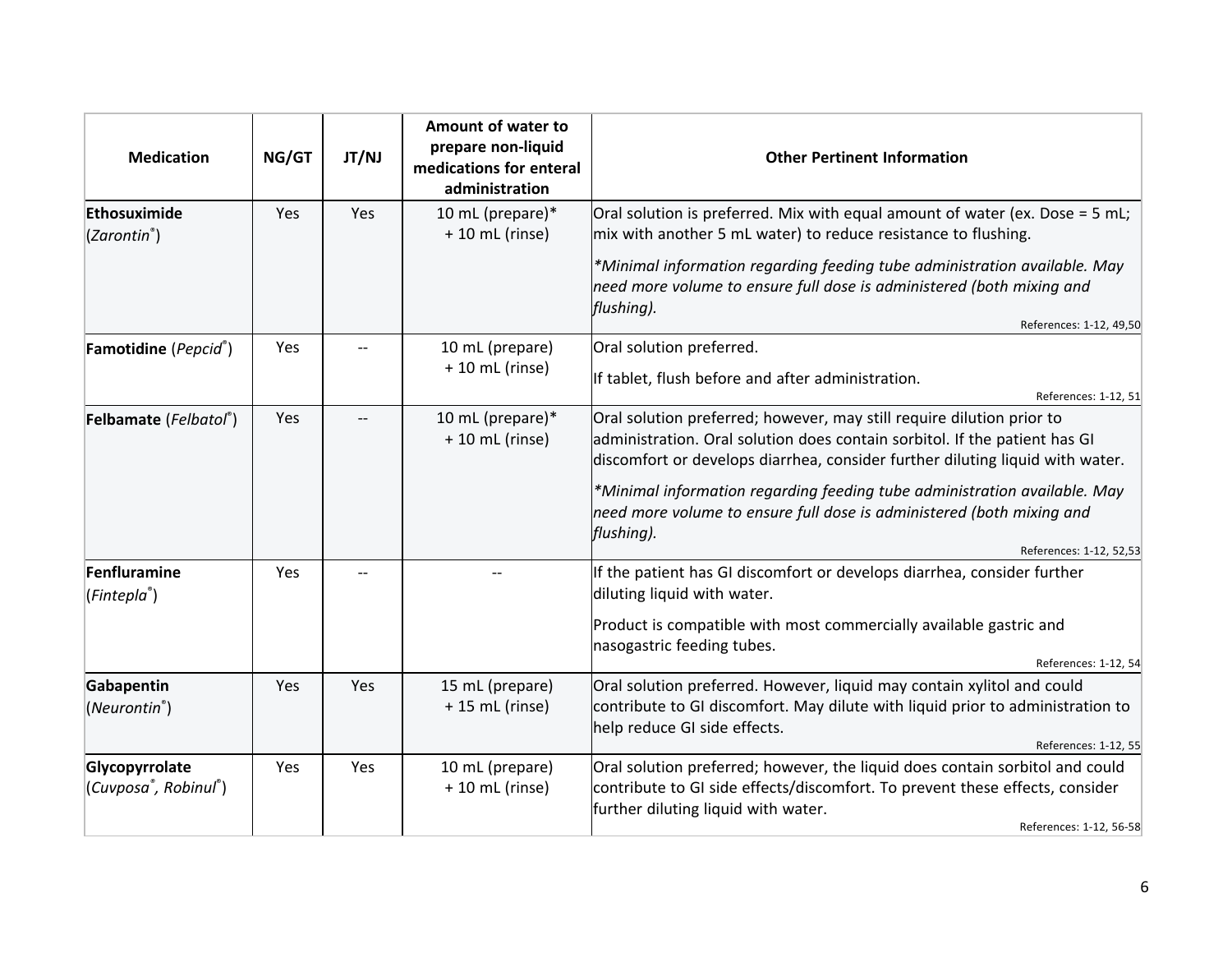| <b>Medication</b>                       | NG/GT | JT/NJ | Amount of water to<br>prepare non-liquid<br>medications for enteral<br>administration | <b>Other Pertinent Information</b>                                                                                                                                                                                                   |
|-----------------------------------------|-------|-------|---------------------------------------------------------------------------------------|--------------------------------------------------------------------------------------------------------------------------------------------------------------------------------------------------------------------------------------|
| Ethosuximide<br>$(Zarontin^*)$          | Yes   | Yes   | 10 mL (prepare)*<br>$+10$ mL (rinse)                                                  | Oral solution is preferred. Mix with equal amount of water (ex. Dose = 5 mL;<br>mix with another 5 mL water) to reduce resistance to flushing.                                                                                       |
|                                         |       |       |                                                                                       | *Minimal information regarding feeding tube administration available. May<br>need more volume to ensure full dose is administered (both mixing and<br>flushing).<br>References: 1-12, 49,50                                          |
| Famotidine (Pepcid®)                    | Yes   |       | 10 mL (prepare)                                                                       | Oral solution preferred.                                                                                                                                                                                                             |
|                                         |       |       | $+10$ mL (rinse)                                                                      | If tablet, flush before and after administration.<br>References: 1-12, 51                                                                                                                                                            |
| Felbamate (Felbatol®)                   | Yes   |       | 10 mL (prepare)*<br>$+10$ mL (rinse)                                                  | Oral solution preferred; however, may still require dilution prior to<br>administration. Oral solution does contain sorbitol. If the patient has GI<br>discomfort or develops diarrhea, consider further diluting liquid with water. |
|                                         |       |       |                                                                                       | *Minimal information regarding feeding tube administration available. May<br>need more volume to ensure full dose is administered (both mixing and<br>flushing).                                                                     |
| Fenfluramine                            | Yes   |       |                                                                                       | References: 1-12, 52.53<br>If the patient has GI discomfort or develops diarrhea, consider further                                                                                                                                   |
| (Fintepla <sup>®</sup> )                |       |       |                                                                                       | diluting liquid with water.                                                                                                                                                                                                          |
|                                         |       |       |                                                                                       | Product is compatible with most commercially available gastric and<br>nasogastric feeding tubes.                                                                                                                                     |
|                                         |       |       |                                                                                       | References: 1-12, 54                                                                                                                                                                                                                 |
| Gabapentin<br>(Neurontin <sup>®</sup> ) | Yes   | Yes   | 15 mL (prepare)<br>$+ 15$ mL (rinse)                                                  | Oral solution preferred. However, liquid may contain xylitol and could<br>contribute to GI discomfort. May dilute with liquid prior to administration to<br>help reduce GI side effects.                                             |
|                                         |       |       |                                                                                       | References: 1-12, 55                                                                                                                                                                                                                 |
| Glycopyrrolate<br>(Cuvposa®, Robinul®)  | Yes   | Yes   | 10 mL (prepare)<br>$+10$ mL (rinse)                                                   | Oral solution preferred; however, the liquid does contain sorbitol and could<br>contribute to GI side effects/discomfort. To prevent these effects, consider<br>further diluting liquid with water.<br>References: 1-12, 56-58       |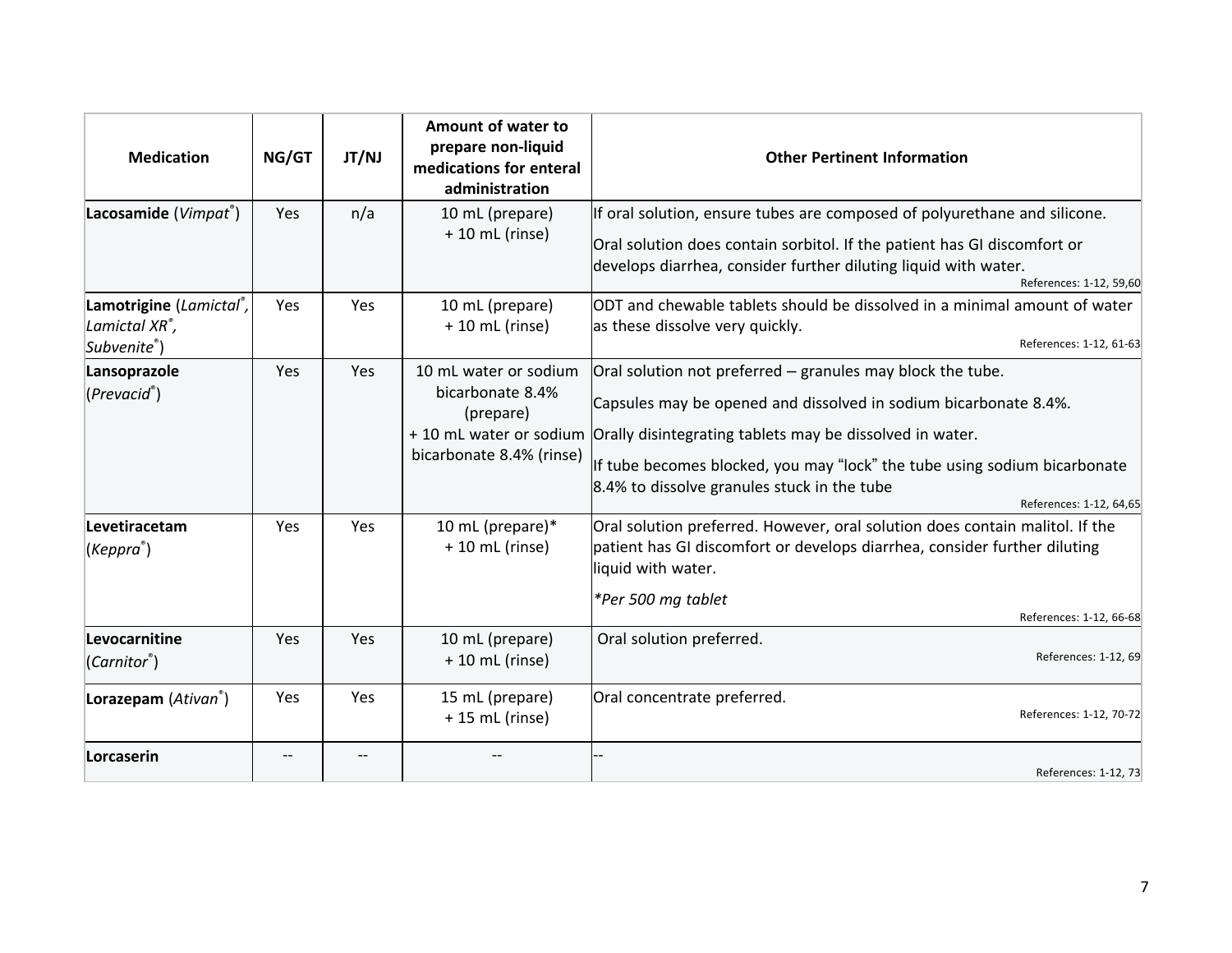| <b>Medication</b>                                                    | NG/GT | JT/NJ | Amount of water to<br>prepare non-liquid<br>medications for enteral<br>administration                         | <b>Other Pertinent Information</b>                                                                                                                                                                                                                                                                                                                |
|----------------------------------------------------------------------|-------|-------|---------------------------------------------------------------------------------------------------------------|---------------------------------------------------------------------------------------------------------------------------------------------------------------------------------------------------------------------------------------------------------------------------------------------------------------------------------------------------|
| Lacosamide (Vimpat®)                                                 | Yes   | n/a   | 10 mL (prepare)<br>$+10$ mL (rinse)                                                                           | If oral solution, ensure tubes are composed of polyurethane and silicone.<br>Oral solution does contain sorbitol. If the patient has GI discomfort or<br>develops diarrhea, consider further diluting liquid with water.<br>References: 1-12, 59,60                                                                                               |
| Lamotrigine (Lamictal®,<br>Lamictal XR <sup>®</sup> ,<br>Subvenite®) | Yes   | Yes   | 10 mL (prepare)<br>$+10$ mL (rinse)                                                                           | ODT and chewable tablets should be dissolved in a minimal amount of water<br>as these dissolve very quickly.<br>References: 1-12, 61-63                                                                                                                                                                                                           |
| Lansoprazole<br>(Prevacid <sup>°</sup> )                             | Yes   | Yes   | 10 mL water or sodium<br>bicarbonate 8.4%<br>(prepare)<br>+ 10 mL water or sodium<br>bicarbonate 8.4% (rinse) | Oral solution not preferred – granules may block the tube.<br>Capsules may be opened and dissolved in sodium bicarbonate 8.4%.<br>Orally disintegrating tablets may be dissolved in water.<br>If tube becomes blocked, you may "lock" the tube using sodium bicarbonate<br>8.4% to dissolve granules stuck in the tube<br>References: 1-12, 64,65 |
| Levetiracetam<br>(Keppra <sup>®</sup> )                              | Yes   | Yes   | 10 mL (prepare)*<br>$+10$ mL (rinse)                                                                          | Oral solution preferred. However, oral solution does contain malitol. If the<br>patient has GI discomfort or develops diarrhea, consider further diluting<br>liquid with water.<br>*Per 500 mg tablet<br>References: 1-12, 66-68                                                                                                                  |
| Levocarnitine<br>$(Carnitor^*)$                                      | Yes   | Yes   | 10 mL (prepare)<br>$+10$ mL (rinse)                                                                           | Oral solution preferred.<br>References: 1-12, 69                                                                                                                                                                                                                                                                                                  |
| Lorazepam (Ativan®)                                                  | Yes   | Yes   | 15 mL (prepare)<br>$+ 15$ mL (rinse)                                                                          | Oral concentrate preferred.<br>References: 1-12, 70-72                                                                                                                                                                                                                                                                                            |
| Lorcaserin                                                           |       |       |                                                                                                               | References: 1-12, 73                                                                                                                                                                                                                                                                                                                              |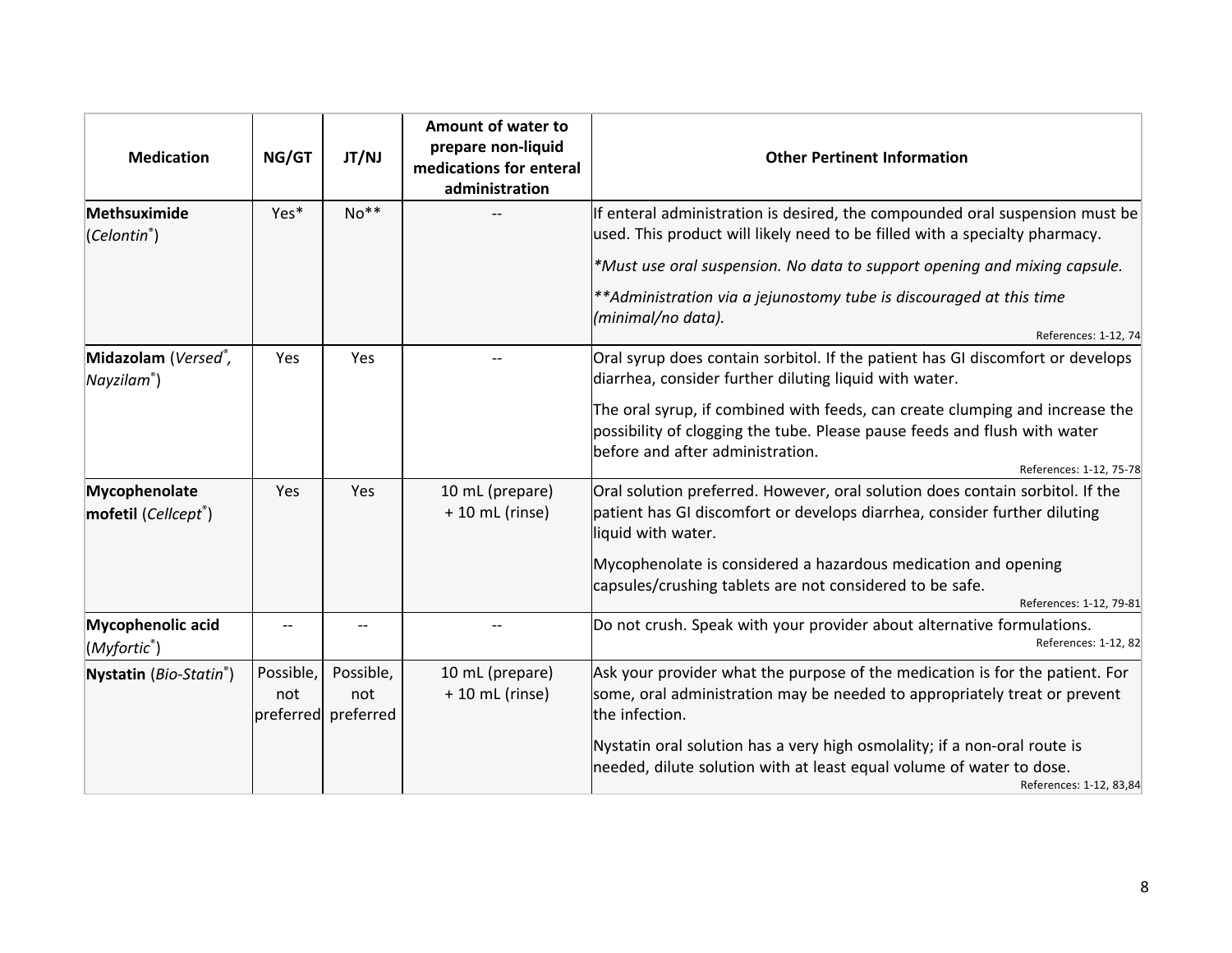| <b>Medication</b>                        | NG/GT            | JT/NJ                                   | Amount of water to<br>prepare non-liquid<br>medications for enteral<br>administration | <b>Other Pertinent Information</b>                                                                                                                                                            |
|------------------------------------------|------------------|-----------------------------------------|---------------------------------------------------------------------------------------|-----------------------------------------------------------------------------------------------------------------------------------------------------------------------------------------------|
| Methsuximide<br>(Celontin <sup>°</sup> ) | Yes*             | $No**$                                  |                                                                                       | If enteral administration is desired, the compounded oral suspension must be<br>used. This product will likely need to be filled with a specialty pharmacy.                                   |
|                                          |                  |                                         |                                                                                       | *Must use oral suspension. No data to support opening and mixing capsule.                                                                                                                     |
|                                          |                  |                                         |                                                                                       | **Administration via a jejunostomy tube is discouraged at this time<br>(minimal/no data).                                                                                                     |
|                                          |                  |                                         |                                                                                       | References: 1-12, 74                                                                                                                                                                          |
| Midazolam (Versed®,<br>$N$ ayzilam®)     | Yes              | Yes                                     |                                                                                       | Oral syrup does contain sorbitol. If the patient has GI discomfort or develops<br>diarrhea, consider further diluting liquid with water.                                                      |
|                                          |                  |                                         |                                                                                       | The oral syrup, if combined with feeds, can create clumping and increase the<br>possibility of clogging the tube. Please pause feeds and flush with water<br>before and after administration. |
|                                          |                  |                                         |                                                                                       | References: 1-12, 75-78                                                                                                                                                                       |
| Mycophenolate<br>mofetil (Cellcept®)     | Yes              | Yes                                     | 10 mL (prepare)<br>$+10$ mL (rinse)                                                   | Oral solution preferred. However, oral solution does contain sorbitol. If the<br>patient has GI discomfort or develops diarrhea, consider further diluting<br>liquid with water.              |
|                                          |                  |                                         |                                                                                       | Mycophenolate is considered a hazardous medication and opening<br>capsules/crushing tablets are not considered to be safe.<br>References: 1-12, 79-81                                         |
| Mycophenolic acid<br>(Myfortic®)         |                  |                                         |                                                                                       | Do not crush. Speak with your provider about alternative formulations.<br>References: 1-12, 82                                                                                                |
| Nystatin (Bio-Statin®)                   | Possible,<br>not | Possible,<br>not<br>preferred preferred | 10 mL (prepare)<br>$+10$ mL (rinse)                                                   | Ask your provider what the purpose of the medication is for the patient. For<br>some, oral administration may be needed to appropriately treat or prevent<br>the infection.                   |
|                                          |                  |                                         |                                                                                       | Nystatin oral solution has a very high osmolality; if a non-oral route is<br>needed, dilute solution with at least equal volume of water to dose.<br>References: 1-12, 83,84                  |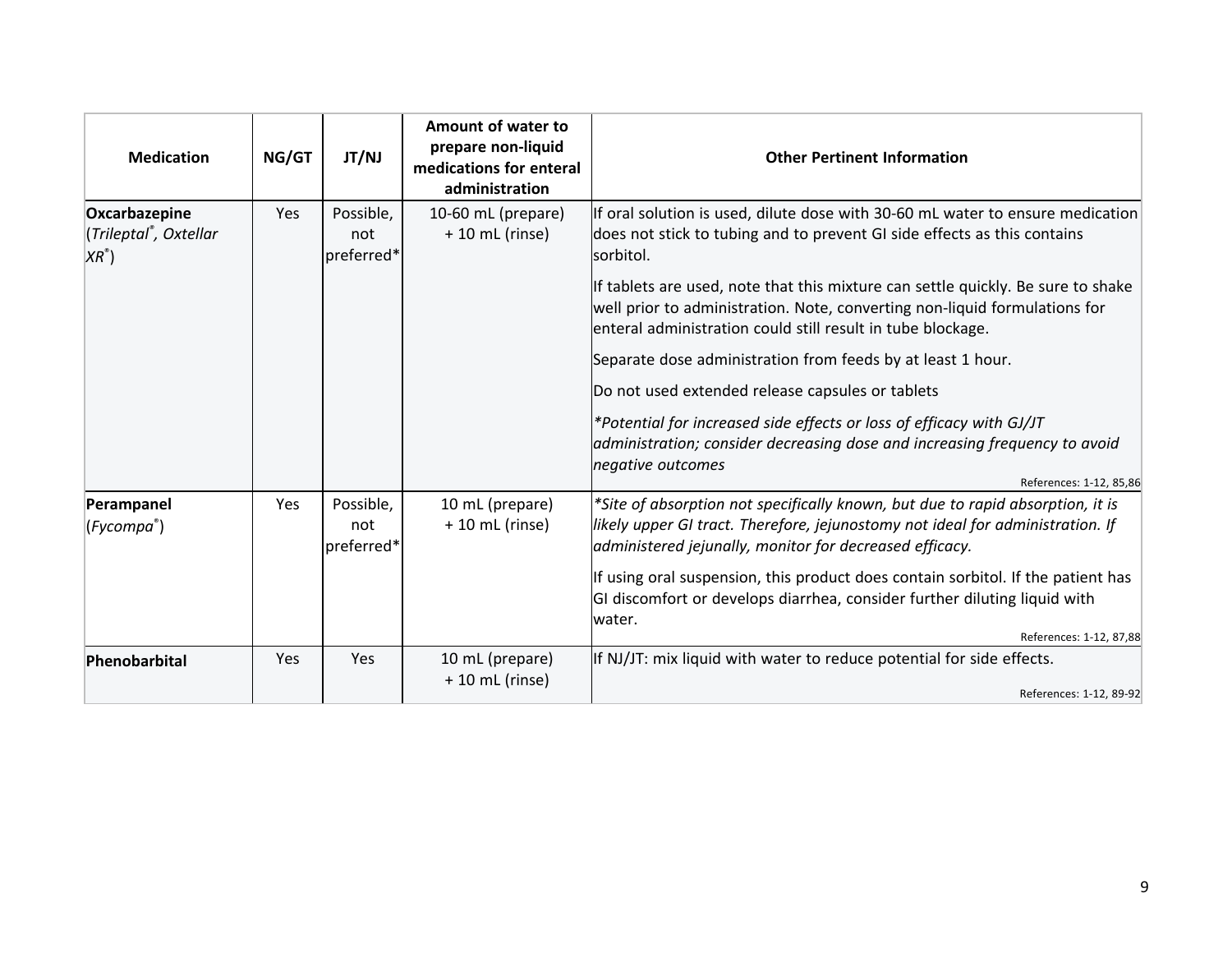| <b>Medication</b>                                                    | NG/GT | JT/NJ                          | Amount of water to<br>prepare non-liquid<br>medications for enteral<br>administration | <b>Other Pertinent Information</b>                                                                                                                                                                                                                     |
|----------------------------------------------------------------------|-------|--------------------------------|---------------------------------------------------------------------------------------|--------------------------------------------------------------------------------------------------------------------------------------------------------------------------------------------------------------------------------------------------------|
| Oxcarbazepine<br>(Trileptal <sup>®</sup> , Oxtellar<br>$XR^{\circ})$ | Yes   | Possible,<br>not<br>preferred* | 10-60 mL (prepare)<br>$+10$ mL (rinse)                                                | If oral solution is used, dilute dose with 30-60 mL water to ensure medication<br>does not stick to tubing and to prevent GI side effects as this contains<br>sorbitol.                                                                                |
|                                                                      |       |                                |                                                                                       | If tablets are used, note that this mixture can settle quickly. Be sure to shake<br>well prior to administration. Note, converting non-liquid formulations for<br>enteral administration could still result in tube blockage.                          |
|                                                                      |       |                                |                                                                                       | Separate dose administration from feeds by at least 1 hour.                                                                                                                                                                                            |
|                                                                      |       |                                |                                                                                       | Do not used extended release capsules or tablets                                                                                                                                                                                                       |
|                                                                      |       |                                |                                                                                       | *Potential for increased side effects or loss of efficacy with GJ/JT<br>administration; consider decreasing dose and increasing frequency to avoid<br>negative outcomes                                                                                |
| Perampanel<br>(Fycompa <sup>®</sup> )                                | Yes   | Possible,<br>not<br>preferred* | 10 mL (prepare)<br>$+10$ mL (rinse)                                                   | References: 1-12, 85,86<br>*Site of absorption not specifically known, but due to rapid absorption, it is<br>likely upper GI tract. Therefore, jejunostomy not ideal for administration. If<br>administered jejunally, monitor for decreased efficacy. |
|                                                                      |       |                                |                                                                                       | If using oral suspension, this product does contain sorbitol. If the patient has<br>GI discomfort or develops diarrhea, consider further diluting liquid with<br>water.                                                                                |
| Phenobarbital                                                        | Yes   | Yes                            | 10 mL (prepare)                                                                       | References: 1-12, 87,88<br>If NJ/JT: mix liquid with water to reduce potential for side effects.                                                                                                                                                       |
|                                                                      |       |                                | $+10$ mL (rinse)                                                                      | References: 1-12, 89-92                                                                                                                                                                                                                                |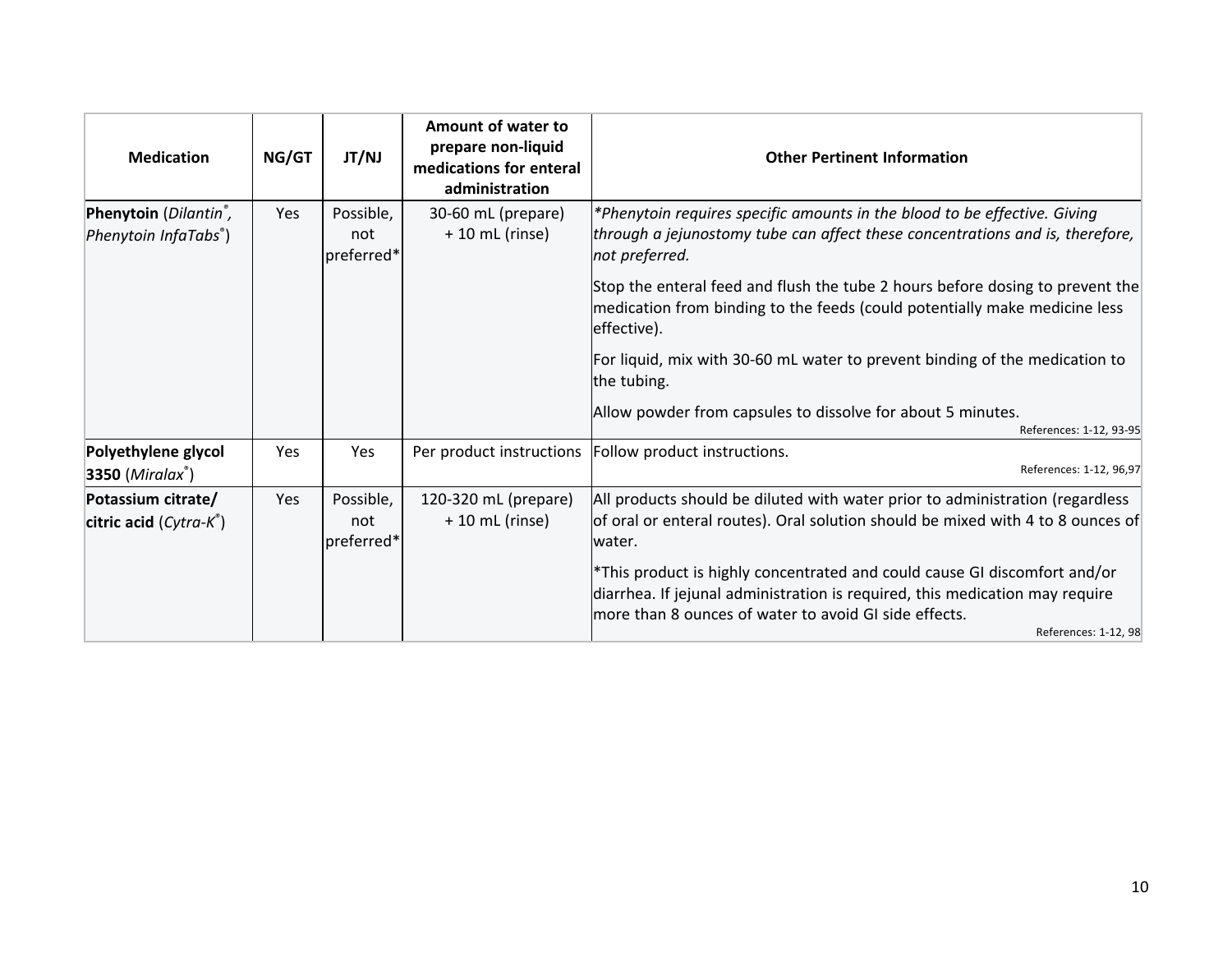| <b>Medication</b>                                                       | NG/GT | JT/NJ                          | Amount of water to<br>prepare non-liquid<br>medications for enteral<br>administration | <b>Other Pertinent Information</b>                                                                                                                                                                                                          |
|-------------------------------------------------------------------------|-------|--------------------------------|---------------------------------------------------------------------------------------|---------------------------------------------------------------------------------------------------------------------------------------------------------------------------------------------------------------------------------------------|
| Phenytoin (Dilantin <sup>®</sup> ,<br>Phenytoin InfaTabs <sup>®</sup> ) | Yes   | Possible,<br>not<br>preferred* | 30-60 mL (prepare)<br>+ 10 mL (rinse)                                                 | *Phenytoin requires specific amounts in the blood to be effective. Giving<br>through a jejunostomy tube can affect these concentrations and is, therefore,<br>not preferred.                                                                |
|                                                                         |       |                                |                                                                                       | Stop the enteral feed and flush the tube 2 hours before dosing to prevent the<br>medication from binding to the feeds (could potentially make medicine less<br>effective).                                                                  |
|                                                                         |       |                                |                                                                                       | For liquid, mix with 30-60 mL water to prevent binding of the medication to<br>the tubing.                                                                                                                                                  |
|                                                                         |       |                                |                                                                                       | Allow powder from capsules to dissolve for about 5 minutes.<br>References: 1-12, 93-95                                                                                                                                                      |
| Polyethylene glycol<br>3350 $(Miralax^*)$                               | Yes   | Yes                            | Per product instructions                                                              | Follow product instructions.<br>References: 1-12, 96,97                                                                                                                                                                                     |
| Potassium citrate/<br>citric acid $(Cytra-K^*)$                         | Yes   | Possible,<br>not<br>preferred* | 120-320 mL (prepare)<br>$+10$ mL (rinse)                                              | All products should be diluted with water prior to administration (regardless<br>of oral or enteral routes). Oral solution should be mixed with 4 to 8 ounces of<br>water.                                                                  |
|                                                                         |       |                                |                                                                                       | *This product is highly concentrated and could cause GI discomfort and/or<br>diarrhea. If jejunal administration is required, this medication may require<br>lmore than 8 ounces of water to avoid GI side effects.<br>References: 1-12, 98 |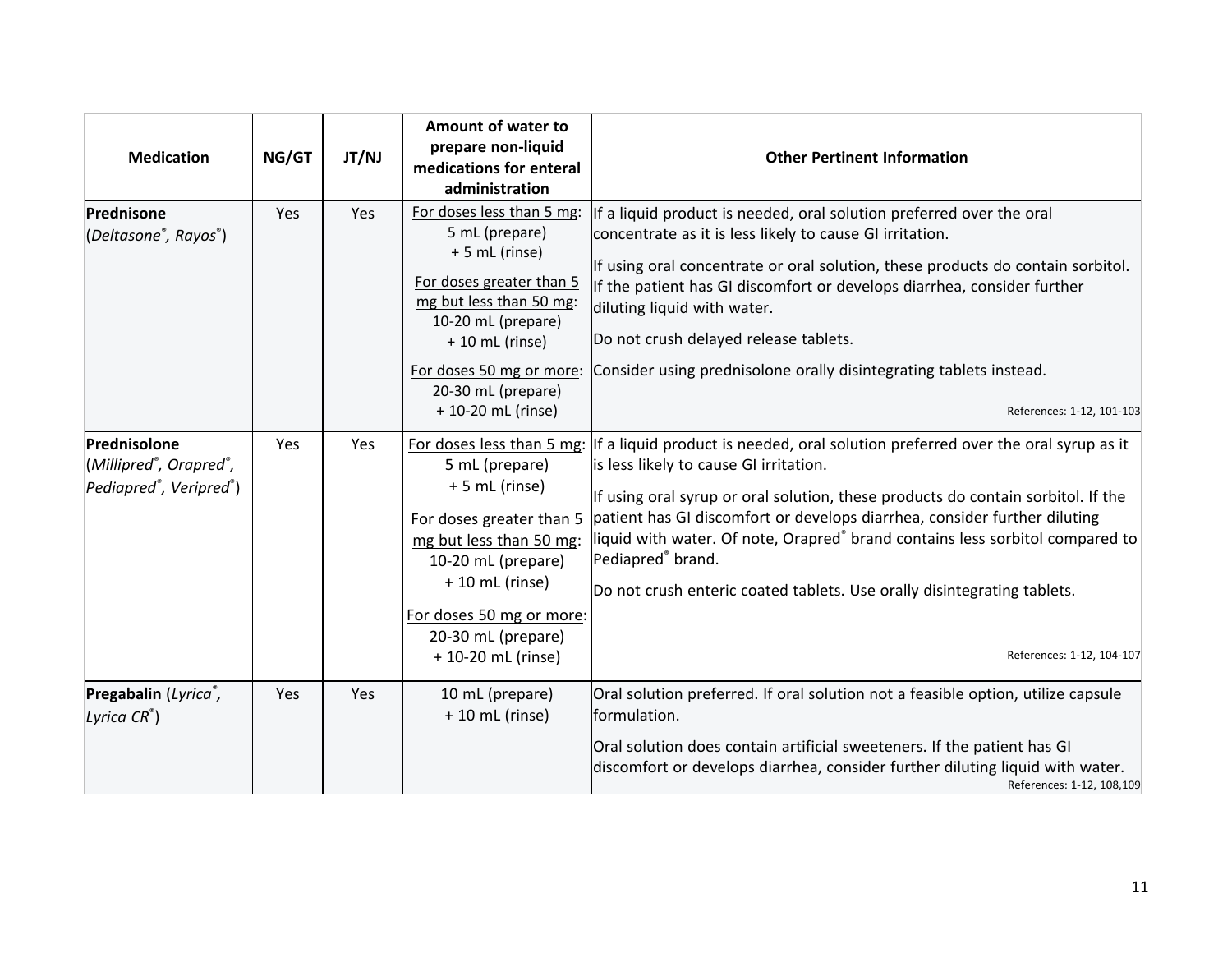| <b>Medication</b>                                                                          | NG/GT      | JT/NJ | Amount of water to<br>prepare non-liquid<br>medications for enteral<br>administration                                                                                                                                                 | <b>Other Pertinent Information</b>                                                                                                                                                                                                                                                                                                                                                                                                                                                                                                                          |
|--------------------------------------------------------------------------------------------|------------|-------|---------------------------------------------------------------------------------------------------------------------------------------------------------------------------------------------------------------------------------------|-------------------------------------------------------------------------------------------------------------------------------------------------------------------------------------------------------------------------------------------------------------------------------------------------------------------------------------------------------------------------------------------------------------------------------------------------------------------------------------------------------------------------------------------------------------|
| Prednisone<br>(Deltasone <sup>®</sup> , Rayos <sup>®</sup> )                               | Yes        | Yes   | For doses less than 5 mg:<br>5 mL (prepare)<br>+5 mL (rinse)<br>For doses greater than 5<br>mg but less than 50 mg:<br>10-20 mL (prepare)<br>$+10$ mL (rinse)<br>For doses 50 mg or more:<br>20-30 mL (prepare)<br>+ 10-20 mL (rinse) | If a liquid product is needed, oral solution preferred over the oral<br>concentrate as it is less likely to cause GI irritation.<br>If using oral concentrate or oral solution, these products do contain sorbitol.<br>If the patient has GI discomfort or develops diarrhea, consider further<br>diluting liquid with water.<br>Do not crush delayed release tablets.<br>Consider using prednisolone orally disintegrating tablets instead.<br>References: 1-12, 101-103                                                                                   |
| Prednisolone<br>(Millipred <sup>®</sup> , Orapred <sup>®</sup> ,<br>Pediapred®, Veripred®) | <b>Yes</b> | Yes   | 5 mL (prepare)<br>$+5$ mL (rinse)<br>For doses greater than 5<br>mg but less than 50 mg:<br>10-20 mL (prepare)<br>+ 10 mL (rinse)<br>For doses 50 mg or more:<br>20-30 mL (prepare)<br>+ 10-20 mL (rinse)                             | For doses less than 5 mg: If a liquid product is needed, oral solution preferred over the oral syrup as it<br>is less likely to cause GI irritation.<br>If using oral syrup or oral solution, these products do contain sorbitol. If the<br>patient has GI discomfort or develops diarrhea, consider further diluting<br>liquid with water. Of note, Orapred <sup>®</sup> brand contains less sorbitol compared to<br>Pediapred <sup>®</sup> brand.<br>Do not crush enteric coated tablets. Use orally disintegrating tablets.<br>References: 1-12, 104-107 |
| Pregabalin (Lyrica",<br>Lyrica $CR^{\circ}$ )                                              | Yes        | Yes   | 10 mL (prepare)<br>$+10$ mL (rinse)                                                                                                                                                                                                   | Oral solution preferred. If oral solution not a feasible option, utilize capsule<br>formulation.<br>Oral solution does contain artificial sweeteners. If the patient has GI<br>discomfort or develops diarrhea, consider further diluting liquid with water.<br>References: 1-12, 108,109                                                                                                                                                                                                                                                                   |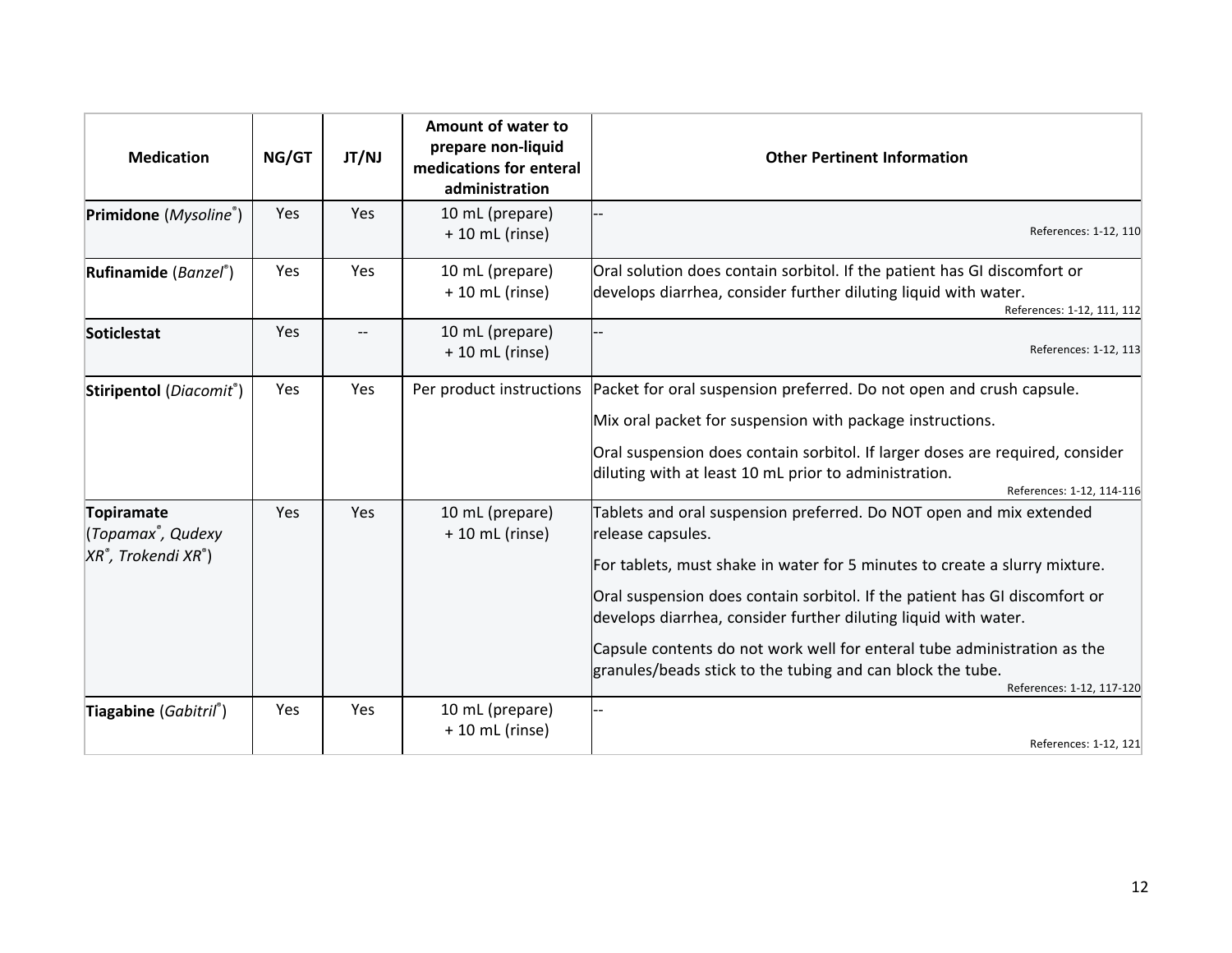| <b>Medication</b>                                                           | NG/GT | JT/NJ      | Amount of water to<br>prepare non-liquid<br>medications for enteral<br>administration | <b>Other Pertinent Information</b>                                                                                                                                                                                                                                                                                                                                                                                                                                                             |
|-----------------------------------------------------------------------------|-------|------------|---------------------------------------------------------------------------------------|------------------------------------------------------------------------------------------------------------------------------------------------------------------------------------------------------------------------------------------------------------------------------------------------------------------------------------------------------------------------------------------------------------------------------------------------------------------------------------------------|
| Primidone (Mysoline®)                                                       | Yes   | Yes        | 10 mL (prepare)<br>$+10$ mL (rinse)                                                   | References: 1-12, 110                                                                                                                                                                                                                                                                                                                                                                                                                                                                          |
| Rufinamide (Banzel®)                                                        | Yes   | Yes        | 10 mL (prepare)<br>$+10$ mL (rinse)                                                   | Oral solution does contain sorbitol. If the patient has GI discomfort or<br>develops diarrhea, consider further diluting liquid with water.<br>References: 1-12, 111, 112                                                                                                                                                                                                                                                                                                                      |
| <b>Soticlestat</b>                                                          | Yes   |            | 10 mL (prepare)<br>+ 10 mL (rinse)                                                    | References: 1-12, 113                                                                                                                                                                                                                                                                                                                                                                                                                                                                          |
| Stiripentol (Diacomit®)                                                     | Yes   | Yes        | Per product instructions                                                              | Packet for oral suspension preferred. Do not open and crush capsule.<br>Mix oral packet for suspension with package instructions.<br>Oral suspension does contain sorbitol. If larger doses are required, consider<br>diluting with at least 10 mL prior to administration.<br>References: 1-12, 114-116                                                                                                                                                                                       |
| Topiramate<br>(Topamax <sup>®</sup> , Qudexy<br>$XR^*$ , Trokendi XR $^*$ ) | Yes   | Yes        | 10 mL (prepare)<br>$+10$ mL (rinse)                                                   | Tablets and oral suspension preferred. Do NOT open and mix extended<br>release capsules.<br>For tablets, must shake in water for 5 minutes to create a slurry mixture.<br>Oral suspension does contain sorbitol. If the patient has GI discomfort or<br>develops diarrhea, consider further diluting liquid with water.<br>Capsule contents do not work well for enteral tube administration as the<br>granules/beads stick to the tubing and can block the tube.<br>References: 1-12, 117-120 |
| Tiagabine (Gabitril®)                                                       | Yes   | <b>Yes</b> | 10 mL (prepare)<br>$+10$ mL (rinse)                                                   | References: 1-12, 121                                                                                                                                                                                                                                                                                                                                                                                                                                                                          |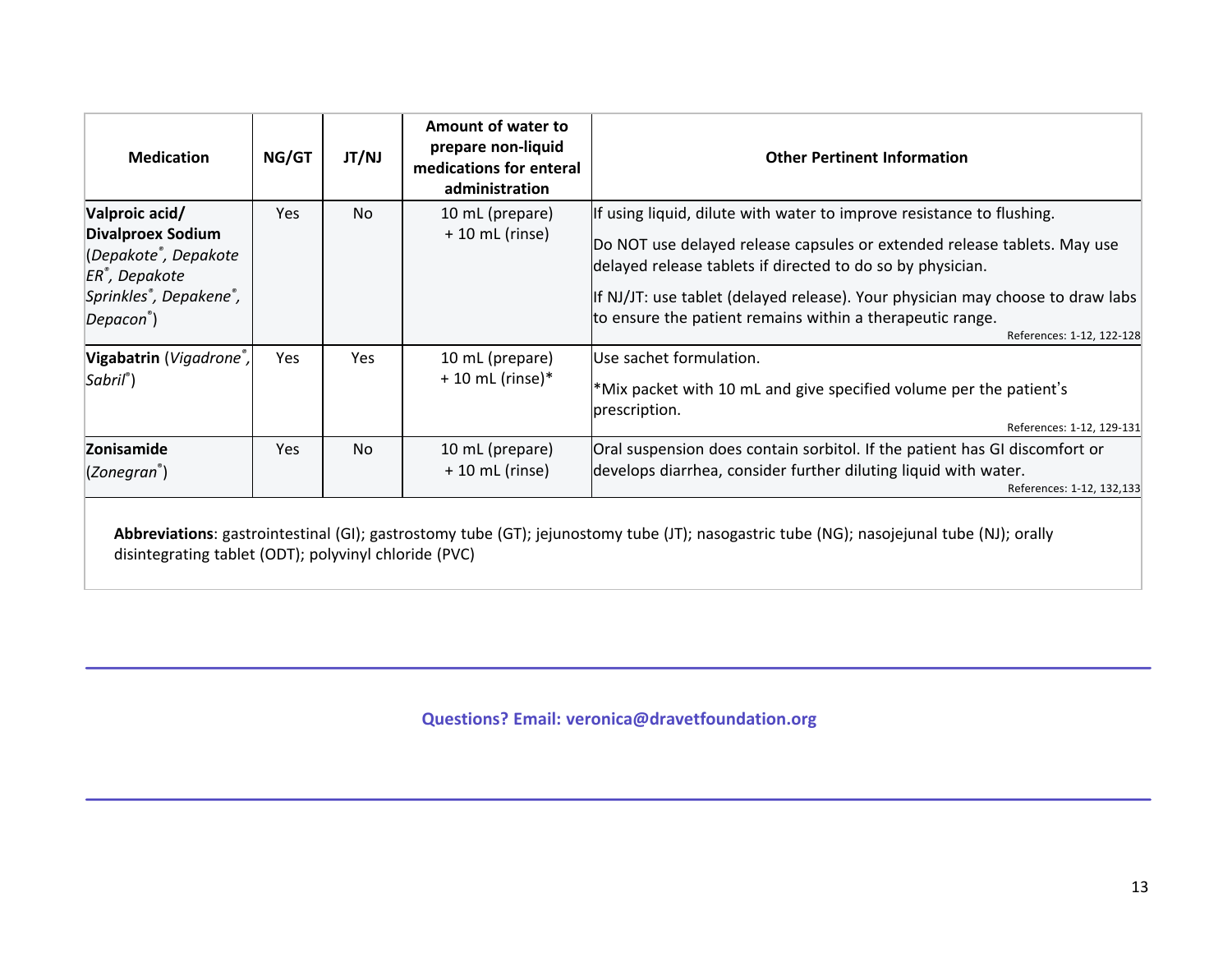| <b>Medication</b>                                                                                                                              | NG/GT      | JT/NJ     | Amount of water to<br>prepare non-liquid<br>medications for enteral<br>administration | <b>Other Pertinent Information</b>                                                                                                                                                                                                                                                                                                                                                          |
|------------------------------------------------------------------------------------------------------------------------------------------------|------------|-----------|---------------------------------------------------------------------------------------|---------------------------------------------------------------------------------------------------------------------------------------------------------------------------------------------------------------------------------------------------------------------------------------------------------------------------------------------------------------------------------------------|
| Valproic acid/<br><b>Divalproex Sodium</b><br>(Depakote <sup>®</sup> , Depakote<br>$ER^*$ , Depakote<br>Sprinkles®, Depakene®,<br>$Depacon*$ ) | <b>Yes</b> | <b>No</b> | 10 mL (prepare)<br>$+10$ mL (rinse)                                                   | If using liquid, dilute with water to improve resistance to flushing.<br>Do NOT use delayed release capsules or extended release tablets. May use<br>delayed release tablets if directed to do so by physician.<br>If NJ/JT: use tablet (delayed release). Your physician may choose to draw labs<br>to ensure the patient remains within a therapeutic range.<br>References: 1-12, 122-128 |
| Vigabatrin (Vigadrone <sup>®</sup> ,<br>$Sabril^*)$                                                                                            | <b>Yes</b> | Yes       | 10 mL (prepare)<br>$+10$ mL (rinse)*                                                  | Use sachet formulation.<br>*Mix packet with 10 mL and give specified volume per the patient's<br>prescription.<br>References: 1-12, 129-131                                                                                                                                                                                                                                                 |
| Zonisamide<br>$(Zoneqran^*)$                                                                                                                   | Yes.       | No.       | 10 mL (prepare)<br>$+10$ mL (rinse)                                                   | Oral suspension does contain sorbitol. If the patient has GI discomfort or<br>develops diarrhea, consider further diluting liquid with water.<br>References: 1-12, 132,133                                                                                                                                                                                                                  |

**Abbreviations**: gastrointestinal (GI); gastrostomy tube (GT); jejunostomy tube (JT); nasogastric tube (NG); nasojejunal tube (NJ); orally disintegrating tablet (ODT); polyvinyl chloride (PVC)

**Questions? Email: veronica@dravetfoundation.org**

Ī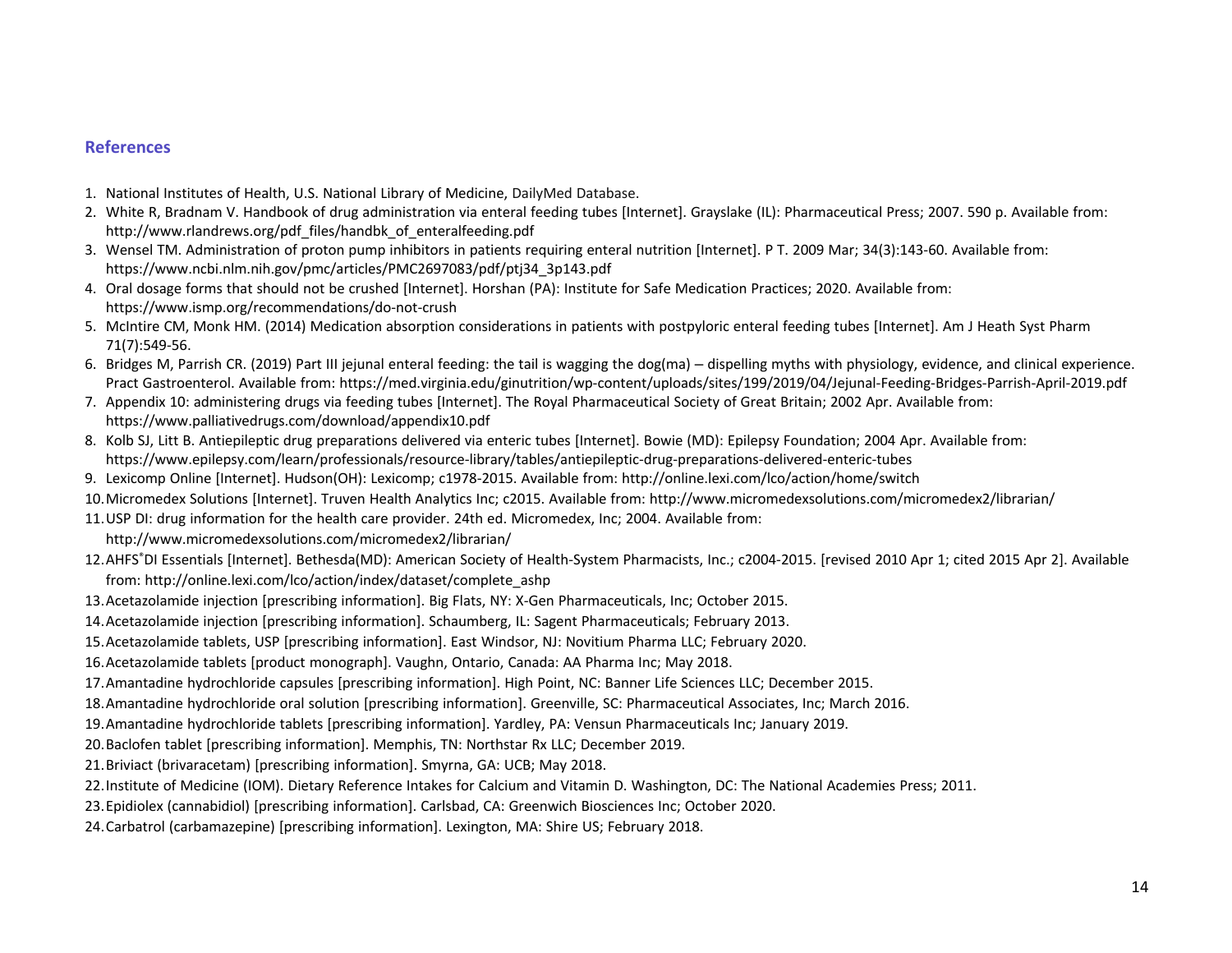### **References**

- 1. National Institutes of Health, U.S. National Library of Medicine, DailyMed Database.
- 2. White R, Bradnam V. Handbook of drug administration via enteral feeding tubes [Internet]. Grayslake (IL): Pharmaceutical Press; 2007. 590 p. Available from: http://www.rlandrews.org/pdf\_files/handbk\_of\_enteralfeeding.pdf
- 3. Wensel TM. Administration of proton pump inhibitors in patients requiring enteral nutrition [Internet]. P T. 2009 Mar; 34(3):143-60. Available from: https://www.ncbi.nlm.nih.gov/pmc/articles/PMC2697083/pdf/ptj34\_3p143.pdf
- 4. Oral dosage forms that should not be crushed [Internet]. Horshan (PA): Institute for Safe Medication Practices; 2020. Available from: https://www.ismp.org/recommendations/do-not-crush
- 5. McIntire CM, Monk HM. (2014) Medication absorption considerations in patients with postpyloric enteral feeding tubes [Internet]. Am J Heath Syst Pharm 71(7):549-56.
- 6. Bridges M, Parrish CR. (2019) Part III jejunal enteral feeding: the tail is wagging the dog(ma) dispelling myths with physiology, evidence, and clinical experience. Pract Gastroenterol. Available from: https://med.virginia.edu/ginutrition/wp-content/uploads/sites/199/2019/04/Jejunal-Feeding-Bridges-Parrish-April-2019.pdf
- 7. Appendix 10: administering drugs via feeding tubes [Internet]. The Royal Pharmaceutical Society of Great Britain; 2002 Apr. Available from: https://www.palliativedrugs.com/download/appendix10.pdf
- 8. Kolb SJ, Litt B. Antiepileptic drug preparations delivered via enteric tubes [Internet]. Bowie (MD): Epilepsy Foundation; 2004 Apr. Available from: https://www.epilepsy.com/learn/professionals/resource-library/tables/antiepileptic-drug-preparations-delivered-enteric-tubes
- 9. Lexicomp Online [Internet]. Hudson(OH): Lexicomp; c1978-2015. Available from: http://online.lexi.com/lco/action/home/switch
- 10.Micromedex Solutions [Internet]. Truven Health Analytics Inc; c2015. Available from: http://www.micromedexsolutions.com/micromedex2/librarian/
- 11.USP DI: drug information for the health care provider. 24th ed. Micromedex, Inc; 2004. Available from:
	- http://www.micromedexsolutions.com/micromedex2/librarian/
- 12.AHFS<sup>®</sup>DI Essentials [Internet]. Bethesda(MD): American Society of Health-System Pharmacists, Inc.; c2004-2015. [revised 2010 Apr 1; cited 2015 Apr 2]. Available from: http://online.lexi.com/lco/action/index/dataset/complete\_ashp
- 13.Acetazolamide injection [prescribing information]. Big Flats, NY: X-Gen Pharmaceuticals, Inc; October 2015.
- 14.Acetazolamide injection [prescribing information]. Schaumberg, IL: Sagent Pharmaceuticals; February 2013.
- 15.Acetazolamide tablets, USP [prescribing information]. East Windsor, NJ: Novitium Pharma LLC; February 2020.
- 16.Acetazolamide tablets [product monograph]. Vaughn, Ontario, Canada: AA Pharma Inc; May 2018.
- 17.Amantadine hydrochloride capsules [prescribing information]. High Point, NC: Banner Life Sciences LLC; December 2015.
- 18.Amantadine hydrochloride oral solution [prescribing information]. Greenville, SC: Pharmaceutical Associates, Inc; March 2016.
- 19.Amantadine hydrochloride tablets [prescribing information]. Yardley, PA: Vensun Pharmaceuticals Inc; January 2019.
- 20.Baclofen tablet [prescribing information]. Memphis, TN: Northstar Rx LLC; December 2019.
- 21.Briviact (brivaracetam) [prescribing information]. Smyrna, GA: UCB; May 2018.
- 22.Institute of Medicine (IOM). Dietary Reference Intakes for Calcium and Vitamin D. Washington, DC: The National Academies Press; 2011.
- 23.Epidiolex (cannabidiol) [prescribing information]. Carlsbad, CA: Greenwich Biosciences Inc; October 2020.
- 24.Carbatrol (carbamazepine) [prescribing information]. Lexington, MA: Shire US; February 2018.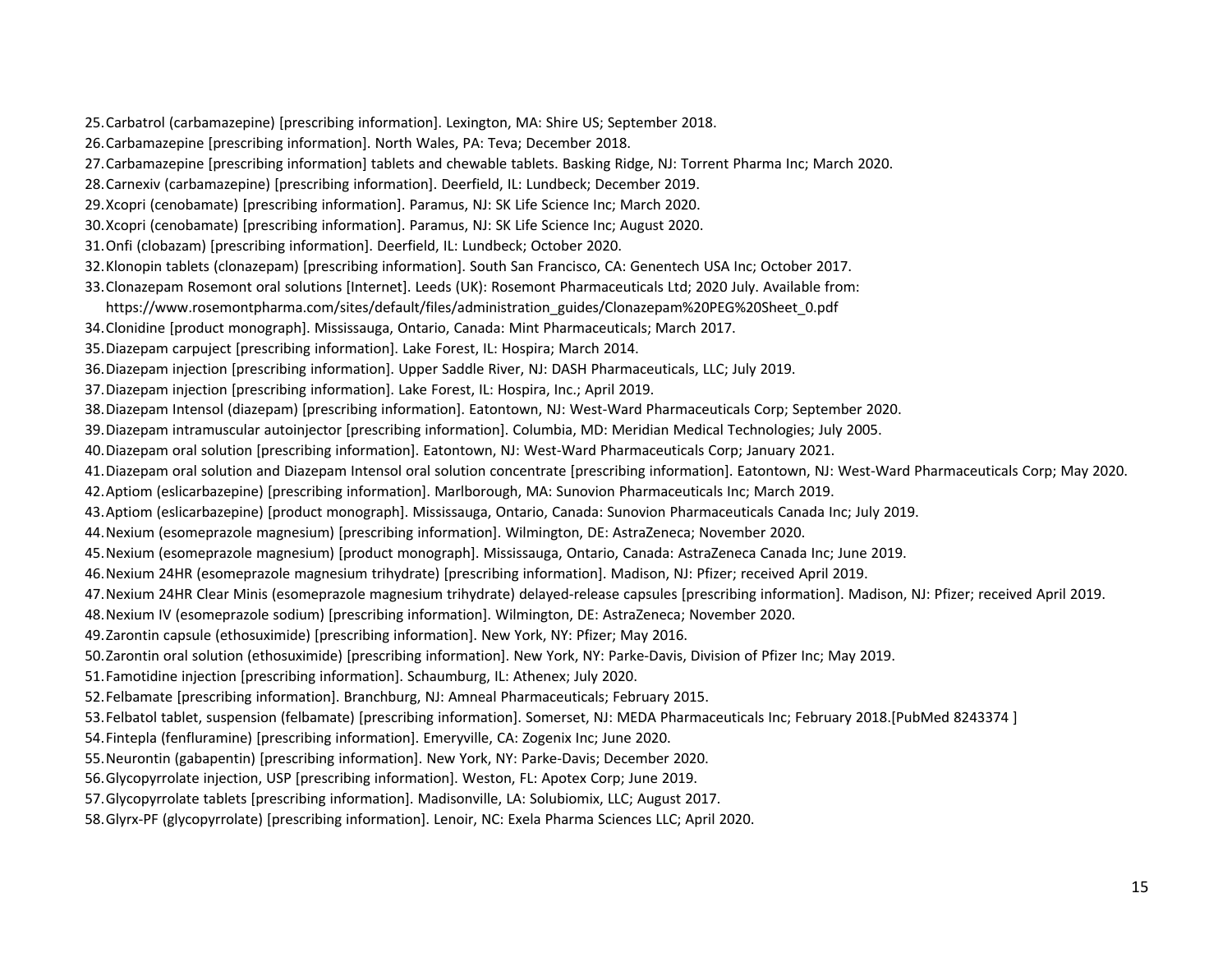- 25.Carbatrol (carbamazepine) [prescribing information]. Lexington, MA: Shire US; September 2018.
- 26.Carbamazepine [prescribing information]. North Wales, PA: Teva; December 2018.
- 27.Carbamazepine [prescribing information] tablets and chewable tablets. Basking Ridge, NJ: Torrent Pharma Inc; March 2020.
- 28.Carnexiv (carbamazepine) [prescribing information]. Deerfield, IL: Lundbeck; December 2019.
- 29.Xcopri (cenobamate) [prescribing information]. Paramus, NJ: SK Life Science Inc; March 2020.
- 30.Xcopri (cenobamate) [prescribing information]. Paramus, NJ: SK Life Science Inc; August 2020.
- 31.Onfi (clobazam) [prescribing information]. Deerfield, IL: Lundbeck; October 2020.
- 32.Klonopin tablets (clonazepam) [prescribing information]. South San Francisco, CA: Genentech USA Inc; October 2017.
- 33.Clonazepam Rosemont oral solutions [Internet]. Leeds (UK): Rosemont Pharmaceuticals Ltd; 2020 July. Available from:
- https://www.rosemontpharma.com/sites/default/files/administration\_guides/Clonazepam%20PEG%20Sheet\_0.pdf
- 34.Clonidine [product monograph]. Mississauga, Ontario, Canada: Mint Pharmaceuticals; March 2017.
- 35.Diazepam carpuject [prescribing information]. Lake Forest, IL: Hospira; March 2014.
- 36.Diazepam injection [prescribing information]. Upper Saddle River, NJ: DASH Pharmaceuticals, LLC; July 2019.
- 37.Diazepam injection [prescribing information]. Lake Forest, IL: Hospira, Inc.; April 2019.
- 38.Diazepam Intensol (diazepam) [prescribing information]. Eatontown, NJ: West-Ward Pharmaceuticals Corp; September 2020.
- 39.Diazepam intramuscular autoinjector [prescribing information]. Columbia, MD: Meridian Medical Technologies; July 2005.
- 40.Diazepam oral solution [prescribing information]. Eatontown, NJ: West-Ward Pharmaceuticals Corp; January 2021.
- 41.Diazepam oral solution and Diazepam Intensol oral solution concentrate [prescribing information]. Eatontown, NJ: West-Ward Pharmaceuticals Corp; May 2020.
- 42.Aptiom (eslicarbazepine) [prescribing information]. Marlborough, MA: Sunovion Pharmaceuticals Inc; March 2019.
- 43.Aptiom (eslicarbazepine) [product monograph]. Mississauga, Ontario, Canada: Sunovion Pharmaceuticals Canada Inc; July 2019.
- 44.Nexium (esomeprazole magnesium) [prescribing information]. Wilmington, DE: AstraZeneca; November 2020.
- 45.Nexium (esomeprazole magnesium) [product monograph]. Mississauga, Ontario, Canada: AstraZeneca Canada Inc; June 2019.
- 46.Nexium 24HR (esomeprazole magnesium trihydrate) [prescribing information]. Madison, NJ: Pfizer; received April 2019.
- 47.Nexium 24HR Clear Minis (esomeprazole magnesium trihydrate) delayed-release capsules [prescribing information]. Madison, NJ: Pfizer; received April 2019.
- 48.Nexium IV (esomeprazole sodium) [prescribing information]. Wilmington, DE: AstraZeneca; November 2020.
- 49.Zarontin capsule (ethosuximide) [prescribing information]. New York, NY: Pfizer; May 2016.
- 50.Zarontin oral solution (ethosuximide) [prescribing information]. New York, NY: Parke-Davis, Division of Pfizer Inc; May 2019.
- 51.Famotidine injection [prescribing information]. Schaumburg, IL: Athenex; July 2020.
- 52.Felbamate [prescribing information]. Branchburg, NJ: Amneal Pharmaceuticals; February 2015.
- 53.Felbatol tablet, suspension (felbamate) [prescribing information]. Somerset, NJ: MEDA Pharmaceuticals Inc; February 2018.[PubMed 8243374 ]
- 54.Fintepla (fenfluramine) [prescribing information]. Emeryville, CA: Zogenix Inc; June 2020.
- 55.Neurontin (gabapentin) [prescribing information]. New York, NY: Parke-Davis; December 2020.
- 56.Glycopyrrolate injection, USP [prescribing information]. Weston, FL: Apotex Corp; June 2019.
- 57.Glycopyrrolate tablets [prescribing information]. Madisonville, LA: Solubiomix, LLC; August 2017.
- 58.Glyrx-PF (glycopyrrolate) [prescribing information]. Lenoir, NC: Exela Pharma Sciences LLC; April 2020.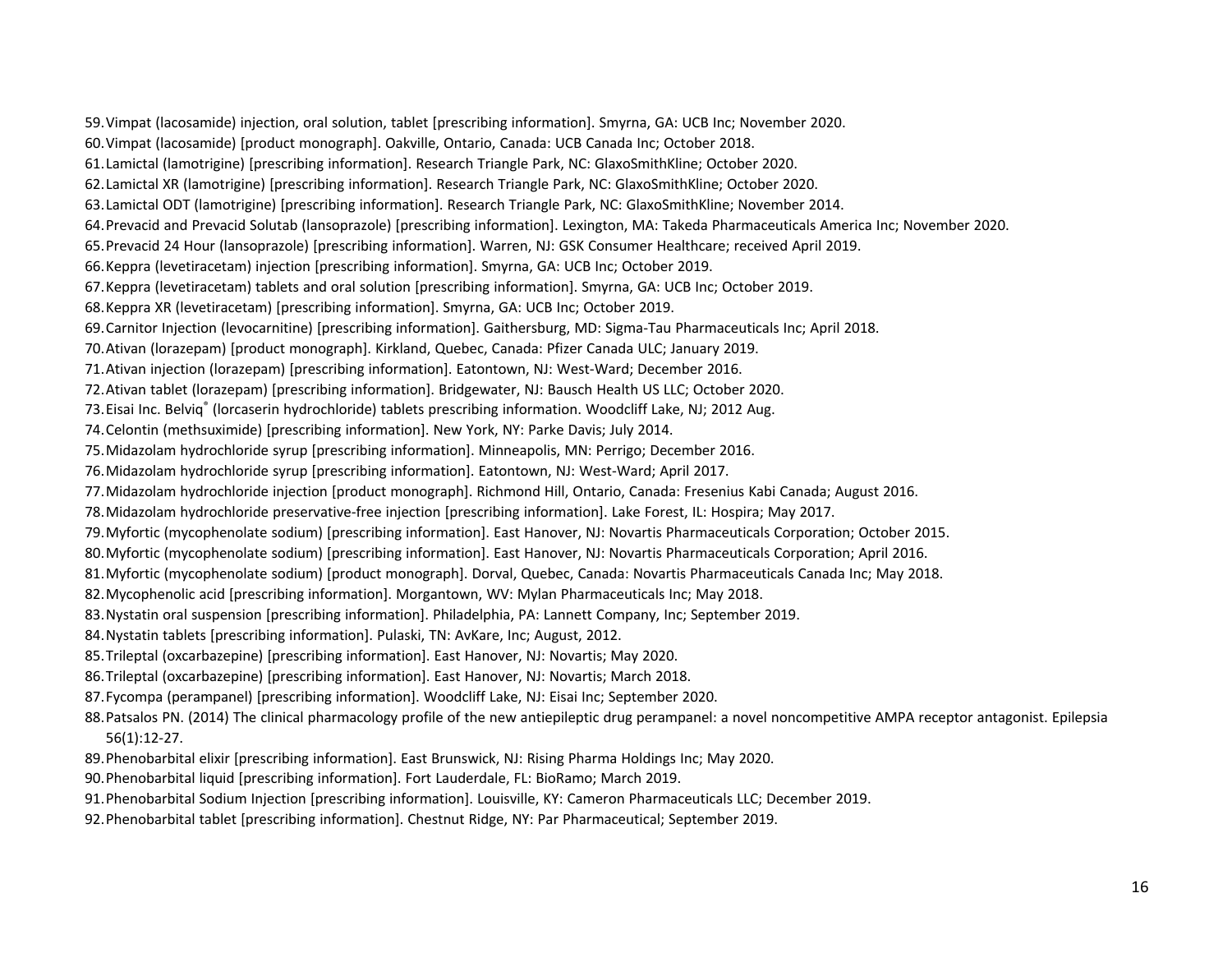59.Vimpat (lacosamide) injection, oral solution, tablet [prescribing information]. Smyrna, GA: UCB Inc; November 2020. 60.Vimpat (lacosamide) [product monograph]. Oakville, Ontario, Canada: UCB Canada Inc; October 2018. 61.Lamictal (lamotrigine) [prescribing information]. Research Triangle Park, NC: GlaxoSmithKline; October 2020. 62.Lamictal XR (lamotrigine) [prescribing information]. Research Triangle Park, NC: GlaxoSmithKline; October 2020. 63.Lamictal ODT (lamotrigine) [prescribing information]. Research Triangle Park, NC: GlaxoSmithKline; November 2014. 64.Prevacid and Prevacid Solutab (lansoprazole) [prescribing information]. Lexington, MA: Takeda Pharmaceuticals America Inc; November 2020. 65.Prevacid 24 Hour (lansoprazole) [prescribing information]. Warren, NJ: GSK Consumer Healthcare; received April 2019. 66.Keppra (levetiracetam) injection [prescribing information]. Smyrna, GA: UCB Inc; October 2019. 67.Keppra (levetiracetam) tablets and oral solution [prescribing information]. Smyrna, GA: UCB Inc; October 2019. 68.Keppra XR (levetiracetam) [prescribing information]. Smyrna, GA: UCB Inc; October 2019. 69.Carnitor Injection (levocarnitine) [prescribing information]. Gaithersburg, MD: Sigma-Tau Pharmaceuticals Inc; April 2018. 70.Ativan (lorazepam) [product monograph]. Kirkland, Quebec, Canada: Pfizer Canada ULC; January 2019. 71.Ativan injection (lorazepam) [prescribing information]. Eatontown, NJ: West-Ward; December 2016. 72.Ativan tablet (lorazepam) [prescribing information]. Bridgewater, NJ: Bausch Health US LLC; October 2020. 73.Eisai Inc. Belviq® (lorcaserin hydrochloride) tablets prescribing information. Woodcliff Lake, NJ; 2012 Aug. 74.Celontin (methsuximide) [prescribing information]. New York, NY: Parke Davis; July 2014. 75.Midazolam hydrochloride syrup [prescribing information]. Minneapolis, MN: Perrigo; December 2016. 76.Midazolam hydrochloride syrup [prescribing information]. Eatontown, NJ: West-Ward; April 2017. 77.Midazolam hydrochloride injection [product monograph]. Richmond Hill, Ontario, Canada: Fresenius Kabi Canada; August 2016. 78.Midazolam hydrochloride preservative-free injection [prescribing information]. Lake Forest, IL: Hospira; May 2017. 79.Myfortic (mycophenolate sodium) [prescribing information]. East Hanover, NJ: Novartis Pharmaceuticals Corporation; October 2015. 80.Myfortic (mycophenolate sodium) [prescribing information]. East Hanover, NJ: Novartis Pharmaceuticals Corporation; April 2016. 81.Myfortic (mycophenolate sodium) [product monograph]. Dorval, Quebec, Canada: Novartis Pharmaceuticals Canada Inc; May 2018. 82.Mycophenolic acid [prescribing information]. Morgantown, WV: Mylan Pharmaceuticals Inc; May 2018. 83.Nystatin oral suspension [prescribing information]. Philadelphia, PA: Lannett Company, Inc; September 2019. 84.Nystatin tablets [prescribing information]. Pulaski, TN: AvKare, Inc; August, 2012. 85.Trileptal (oxcarbazepine) [prescribing information]. East Hanover, NJ: Novartis; May 2020. 86.Trileptal (oxcarbazepine) [prescribing information]. East Hanover, NJ: Novartis; March 2018. 87.Fycompa (perampanel) [prescribing information]. Woodcliff Lake, NJ: Eisai Inc; September 2020. 88.Patsalos PN. (2014) The clinical pharmacology profile of the new antiepileptic drug perampanel: a novel noncompetitive AMPA receptor antagonist. Epilepsia 56(1):12-27. 89.Phenobarbital elixir [prescribing information]. East Brunswick, NJ: Rising Pharma Holdings Inc; May 2020. 90.Phenobarbital liquid [prescribing information]. Fort Lauderdale, FL: BioRamo; March 2019.

- 91.Phenobarbital Sodium Injection [prescribing information]. Louisville, KY: Cameron Pharmaceuticals LLC; December 2019.
- 92.Phenobarbital tablet [prescribing information]. Chestnut Ridge, NY: Par Pharmaceutical; September 2019.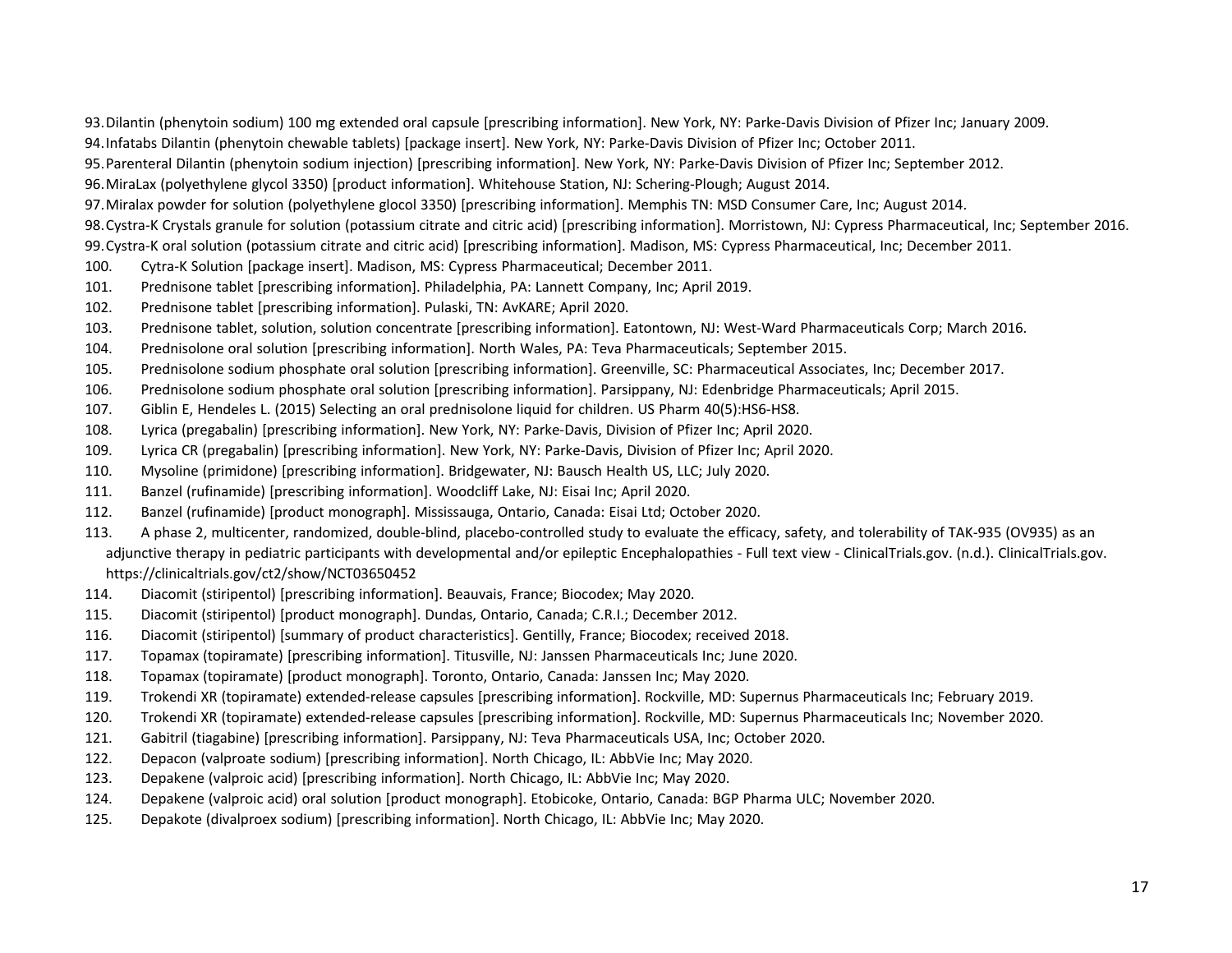93.Dilantin (phenytoin sodium) 100 mg extended oral capsule [prescribing information]. New York, NY: Parke-Davis Division of Pfizer Inc; January 2009. 94.Infatabs Dilantin (phenytoin chewable tablets) [package insert]. New York, NY: Parke-Davis Division of Pfizer Inc; October 2011.

95.Parenteral Dilantin (phenytoin sodium injection) [prescribing information]. New York, NY: Parke-Davis Division of Pfizer Inc; September 2012.

96.MiraLax (polyethylene glycol 3350) [product information]. Whitehouse Station, NJ: Schering-Plough; August 2014.

97.Miralax powder for solution (polyethylene glocol 3350) [prescribing information]. Memphis TN: MSD Consumer Care, Inc; August 2014.

98.Cystra-K Crystals granule for solution (potassium citrate and citric acid) [prescribing information]. Morristown, NJ: Cypress Pharmaceutical, Inc; September 2016.

99.Cystra-K oral solution (potassium citrate and citric acid) [prescribing information]. Madison, MS: Cypress Pharmaceutical, Inc; December 2011.

- 100. Cytra-K Solution [package insert]. Madison, MS: Cypress Pharmaceutical; December 2011.
- 101. Prednisone tablet [prescribing information]. Philadelphia, PA: Lannett Company, Inc; April 2019.
- 102. Prednisone tablet [prescribing information]. Pulaski, TN: AvKARE; April 2020.
- 103. Prednisone tablet, solution, solution concentrate [prescribing information]. Eatontown, NJ: West-Ward Pharmaceuticals Corp; March 2016.
- 104. Prednisolone oral solution [prescribing information]. North Wales, PA: Teva Pharmaceuticals; September 2015.
- 105. Prednisolone sodium phosphate oral solution [prescribing information]. Greenville, SC: Pharmaceutical Associates, Inc; December 2017.
- 106. Prednisolone sodium phosphate oral solution [prescribing information]. Parsippany, NJ: Edenbridge Pharmaceuticals; April 2015.
- 107. Giblin E, Hendeles L. (2015) Selecting an oral prednisolone liquid for children. US Pharm 40(5):HS6-HS8.
- 108. Lyrica (pregabalin) [prescribing information]. New York, NY: Parke-Davis, Division of Pfizer Inc; April 2020.
- 109. Lyrica CR (pregabalin) [prescribing information]. New York, NY: Parke-Davis, Division of Pfizer Inc; April 2020.
- 110. Mysoline (primidone) [prescribing information]. Bridgewater, NJ: Bausch Health US, LLC; July 2020.
- 111. Banzel (rufinamide) [prescribing information]. Woodcliff Lake, NJ: Eisai Inc; April 2020.
- 112. Banzel (rufinamide) [product monograph]. Mississauga, Ontario, Canada: Eisai Ltd; October 2020.
- 113. A phase 2, multicenter, randomized, double-blind, placebo-controlled study to evaluate the efficacy, safety, and tolerability of TAK-935 (OV935) as an adjunctive therapy in pediatric participants with developmental and/or epileptic Encephalopathies - Full text view - ClinicalTrials.gov. (n.d.). ClinicalTrials.gov. https://clinicaltrials.gov/ct2/show/NCT03650452
- 114. Diacomit (stiripentol) [prescribing information]. Beauvais, France; Biocodex; May 2020.
- 115. Diacomit (stiripentol) [product monograph]. Dundas, Ontario, Canada; C.R.I.; December 2012.
- 116. Diacomit (stiripentol) [summary of product characteristics]. Gentilly, France; Biocodex; received 2018.
- 117. Topamax (topiramate) [prescribing information]. Titusville, NJ: Janssen Pharmaceuticals Inc; June 2020.
- 118. Topamax (topiramate) [product monograph]. Toronto, Ontario, Canada: Janssen Inc; May 2020.
- 119. Trokendi XR (topiramate) extended-release capsules [prescribing information]. Rockville, MD: Supernus Pharmaceuticals Inc; February 2019.
- 120. Trokendi XR (topiramate) extended-release capsules [prescribing information]. Rockville, MD: Supernus Pharmaceuticals Inc; November 2020.
- 121. Gabitril (tiagabine) [prescribing information]. Parsippany, NJ: Teva Pharmaceuticals USA, Inc; October 2020.
- 122. Depacon (valproate sodium) [prescribing information]. North Chicago, IL: AbbVie Inc; May 2020.
- 123. Depakene (valproic acid) [prescribing information]. North Chicago, IL: AbbVie Inc; May 2020.
- 124. Depakene (valproic acid) oral solution [product monograph]. Etobicoke, Ontario, Canada: BGP Pharma ULC; November 2020.
- 125. Depakote (divalproex sodium) [prescribing information]. North Chicago, IL: AbbVie Inc; May 2020.